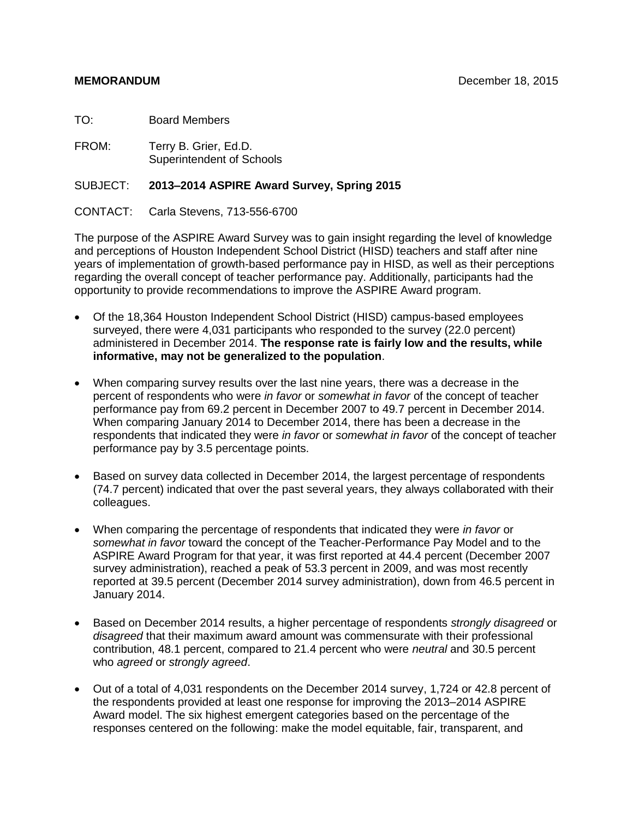TO: Board Members

FROM: Terry B. Grier, Ed.D. Superintendent of Schools

### SUBJECT: **2013–2014 ASPIRE Award Survey, Spring 2015**

CONTACT: Carla Stevens, 713-556-6700

The purpose of the ASPIRE Award Survey was to gain insight regarding the level of knowledge and perceptions of Houston Independent School District (HISD) teachers and staff after nine years of implementation of growth-based performance pay in HISD, as well as their perceptions regarding the overall concept of teacher performance pay. Additionally, participants had the opportunity to provide recommendations to improve the ASPIRE Award program.

- Of the 18,364 Houston Independent School District (HISD) campus-based employees surveyed, there were 4,031 participants who responded to the survey (22.0 percent) administered in December 2014. **The response rate is fairly low and the results, while informative, may not be generalized to the population**.
- When comparing survey results over the last nine years, there was a decrease in the percent of respondents who were *in favor* or *somewhat in favor* of the concept of teacher performance pay from 69.2 percent in December 2007 to 49.7 percent in December 2014. When comparing January 2014 to December 2014, there has been a decrease in the respondents that indicated they were *in favor* or *somewhat in favor* of the concept of teacher performance pay by 3.5 percentage points.
- Based on survey data collected in December 2014, the largest percentage of respondents (74.7 percent) indicated that over the past several years, they always collaborated with their colleagues.
- When comparing the percentage of respondents that indicated they were *in favor* or *somewhat in favor* toward the concept of the Teacher-Performance Pay Model and to the ASPIRE Award Program for that year, it was first reported at 44.4 percent (December 2007 survey administration), reached a peak of 53.3 percent in 2009, and was most recently reported at 39.5 percent (December 2014 survey administration), down from 46.5 percent in January 2014.
- Based on December 2014 results, a higher percentage of respondents *strongly disagreed* or *disagreed* that their maximum award amount was commensurate with their professional contribution, 48.1 percent, compared to 21.4 percent who were *neutral* and 30.5 percent who *agreed* or *strongly agreed*.
- Out of a total of 4,031 respondents on the December 2014 survey, 1,724 or 42.8 percent of the respondents provided at least one response for improving the 2013–2014 ASPIRE Award model. The six highest emergent categories based on the percentage of the responses centered on the following: make the model equitable, fair, transparent, and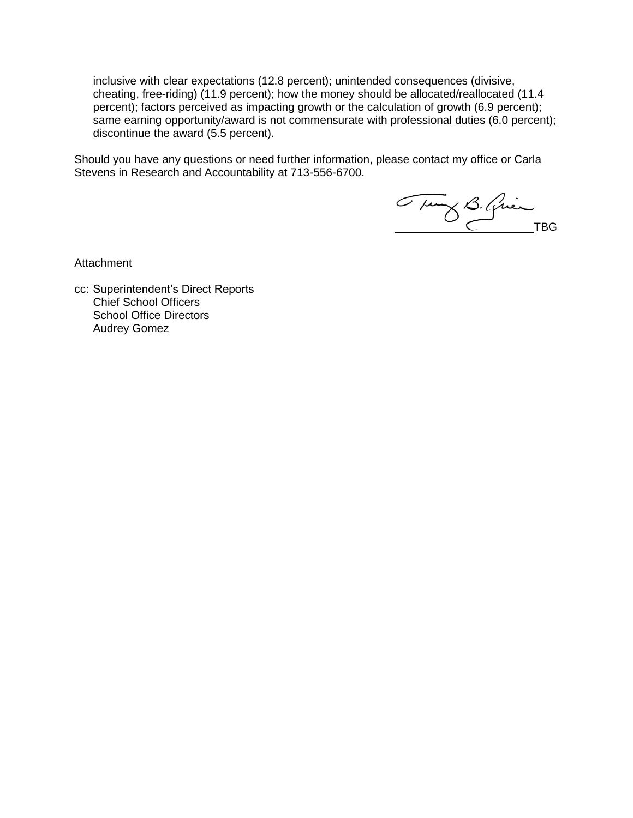inclusive with clear expectations (12.8 percent); unintended consequences (divisive, cheating, free-riding) (11.9 percent); how the money should be allocated/reallocated (11.4 percent); factors perceived as impacting growth or the calculation of growth (6.9 percent); same earning opportunity/award is not commensurate with professional duties (6.0 percent); discontinue the award (5.5 percent).

Should you have any questions or need further information, please contact my office or Carla Stevens in Research and Accountability at 713-556-6700.

Tung B. Quin

**Attachment** 

cc: Superintendent's Direct Reports Chief School Officers School Office Directors Audrey Gomez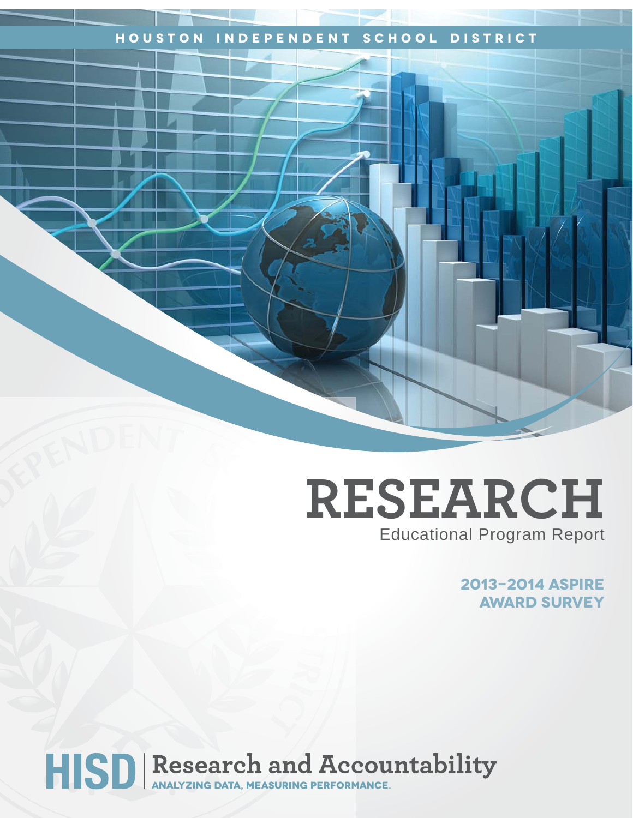# **Houston Independent School District**

# **RESEARCH** Educational Program Report

**2013-2014 ASPIRE Award Survey**

# HISD Research and Accountability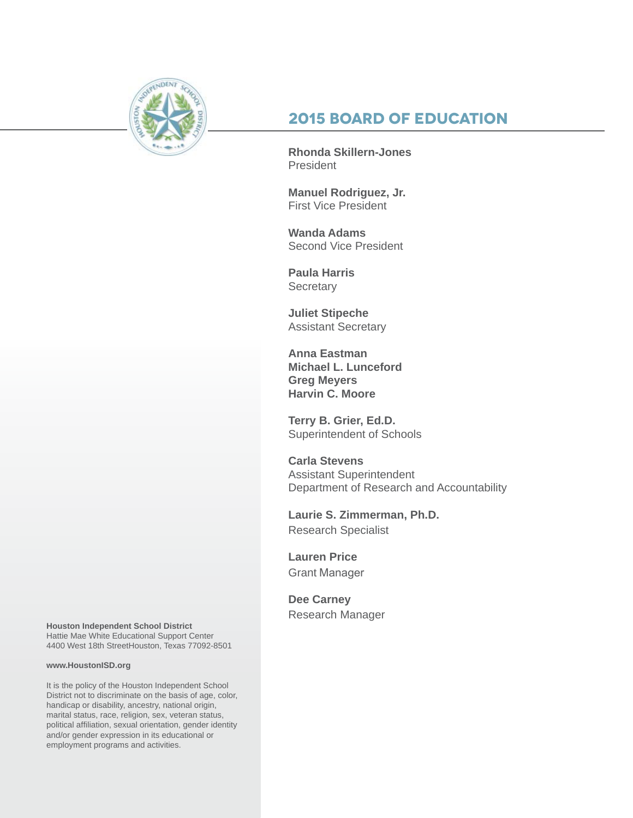

# **2015 Board of Education**

**Rhonda Skillern-Jones President** 

**Manuel Rodriguez, Jr.** First Vice President

**Wanda Adams** Second Vice President

**Paula Harris Secretary** 

**Juliet Stipeche** Assistant Secretary

**Anna Eastman Michael L. Lunceford Greg Meyers Harvin C. Moore**

**Terry B. Grier, Ed.D.** Superintendent of Schools

**Carla Stevens** Assistant Superintendent Department of Research and Accountability

**Laurie S. Zimmerman, Ph.D.** Research Specialist

**Lauren Price** Grant Manager

**Dee Carney** Research Manager

**Houston Independent School District** Hattie Mae White Educational Support Center 4400 West 18th StreetHouston, Texas 77092-8501

#### **www.HoustonISD.org**

It is the policy of the Houston Independent School District not to discriminate on the basis of age, color, handicap or disability, ancestry, national origin, marital status, race, religion, sex, veteran status, political affiliation, sexual orientation, gender identity and/or gender expression in its educational or employment programs and activities.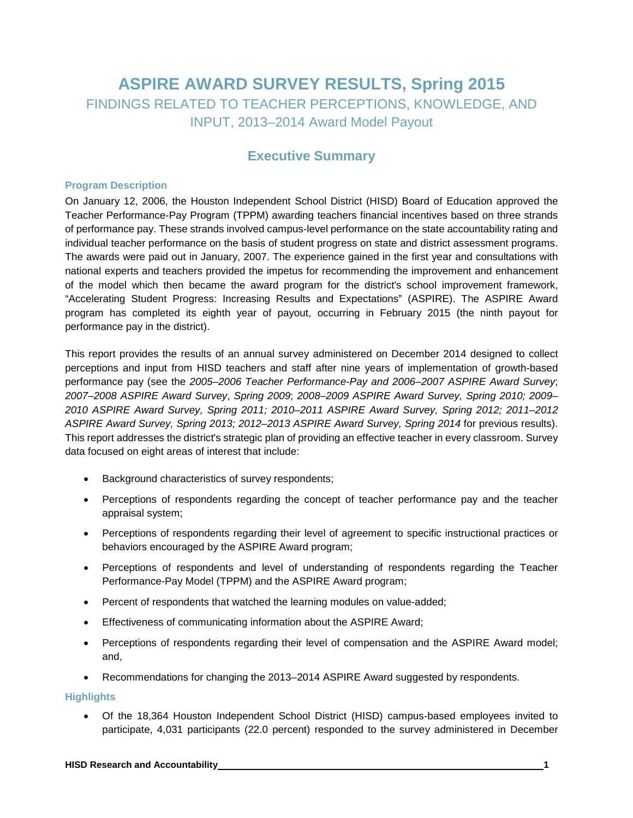# **ASPIRE AWARD SURVEY RESULTS, Spring 2015** FINDINGS RELATED TO TEACHER PERCEPTIONS, KNOWLEDGE, AND INPUT, 2013–2014 Award Model Payout

# **Executive Summary**

#### **Program Description**

On January 12, 2006, the Houston Independent School District (HISD) Board of Education approved the Teacher Performance-Pay Program (TPPM) awarding teachers financial incentives based on three strands of performance pay. These strands involved campus-level performance on the state accountability rating and individual teacher performance on the basis of student progress on state and district assessment programs. The awards were paid out in January, 2007. The experience gained in the first year and consultations with national experts and teachers provided the impetus for recommending the improvement and enhancement of the model which then became the award program for the district's school improvement framework, "Accelerating Student Progress: Increasing Results and Expectations" (ASPIRE). The ASPIRE Award program has completed its eighth year of payout, occurring in February 2015 (the ninth payout for performance pay in the district).

This report provides the results of an annual survey administered on December 2014 designed to collect perceptions and input from HISD teachers and staff after nine years of implementation of growth-based performance pay (see the *2005–2006 Teacher Performance-Pay and 2006–2007 ASPIRE Award Survey*; *2007–2008 ASPIRE Award Survey*, *Spring 2009*; *2008–2009 ASPIRE Award Survey, Spring 2010; 2009– 2010 ASPIRE Award Survey, Spring 2011; 2010–2011 ASPIRE Award Survey, Spring 2012; 2011–2012 ASPIRE Award Survey, Spring 2013; 2012–2013 ASPIRE Award Survey, Spring 2014* for previous results). This report addresses the district's strategic plan of providing an effective teacher in every classroom. Survey data focused on eight areas of interest that include:

- Background characteristics of survey respondents;
- Perceptions of respondents regarding the concept of teacher performance pay and the teacher appraisal system;
- Perceptions of respondents regarding their level of agreement to specific instructional practices or behaviors encouraged by the ASPIRE Award program;
- Perceptions of respondents and level of understanding of respondents regarding the Teacher Performance-Pay Model (TPPM) and the ASPIRE Award program;
- Percent of respondents that watched the learning modules on value-added;
- Effectiveness of communicating information about the ASPIRE Award;
- Perceptions of respondents regarding their level of compensation and the ASPIRE Award model; and,
- Recommendations for changing the 2013–2014 ASPIRE Award suggested by respondents.

#### **Highlights**

• Of the 18,364 Houston Independent School District (HISD) campus-based employees invited to participate, 4,031 participants (22.0 percent) responded to the survey administered in December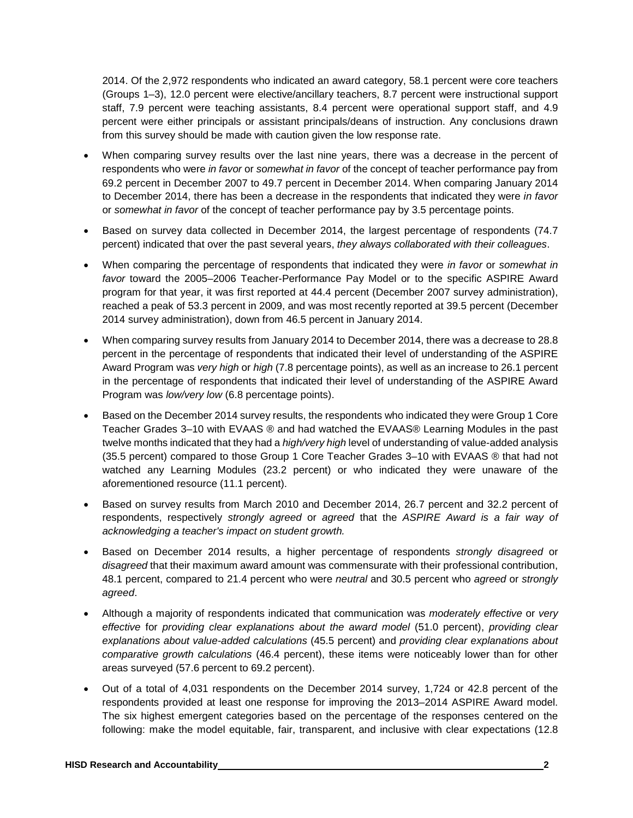2014. Of the 2,972 respondents who indicated an award category, 58.1 percent were core teachers (Groups 1–3), 12.0 percent were elective/ancillary teachers, 8.7 percent were instructional support staff, 7.9 percent were teaching assistants, 8.4 percent were operational support staff, and 4.9 percent were either principals or assistant principals/deans of instruction. Any conclusions drawn from this survey should be made with caution given the low response rate.

- When comparing survey results over the last nine years, there was a decrease in the percent of respondents who were *in favor* or *somewhat in favor* of the concept of teacher performance pay from 69.2 percent in December 2007 to 49.7 percent in December 2014. When comparing January 2014 to December 2014, there has been a decrease in the respondents that indicated they were *in favor* or *somewhat in favor* of the concept of teacher performance pay by 3.5 percentage points.
- Based on survey data collected in December 2014, the largest percentage of respondents (74.7 percent) indicated that over the past several years, *they always collaborated with their colleagues*.
- When comparing the percentage of respondents that indicated they were *in favor* or *somewhat in favor* toward the 2005–2006 Teacher-Performance Pay Model or to the specific ASPIRE Award program for that year, it was first reported at 44.4 percent (December 2007 survey administration), reached a peak of 53.3 percent in 2009, and was most recently reported at 39.5 percent (December 2014 survey administration), down from 46.5 percent in January 2014.
- When comparing survey results from January 2014 to December 2014, there was a decrease to 28.8 percent in the percentage of respondents that indicated their level of understanding of the ASPIRE Award Program was *very high* or *high* (7.8 percentage points), as well as an increase to 26.1 percent in the percentage of respondents that indicated their level of understanding of the ASPIRE Award Program was *low/very low* (6.8 percentage points).
- Based on the December 2014 survey results, the respondents who indicated they were Group 1 Core Teacher Grades 3–10 with EVAAS ® and had watched the EVAAS® Learning Modules in the past twelve months indicated that they had a *high/very high* level of understanding of value-added analysis (35.5 percent) compared to those Group 1 Core Teacher Grades 3–10 with EVAAS ® that had not watched any Learning Modules (23.2 percent) or who indicated they were unaware of the aforementioned resource (11.1 percent).
- Based on survey results from March 2010 and December 2014, 26.7 percent and 32.2 percent of respondents, respectively *strongly agreed* or *agreed* that the *ASPIRE Award is a fair way of acknowledging a teacher's impact on student growth.*
- Based on December 2014 results, a higher percentage of respondents *strongly disagreed* or *disagreed* that their maximum award amount was commensurate with their professional contribution, 48.1 percent, compared to 21.4 percent who were *neutral* and 30.5 percent who *agreed* or *strongly agreed*.
- Although a majority of respondents indicated that communication was *moderately effective* or *very effective* for *providing clear explanations about the award model* (51.0 percent), *providing clear explanations about value-added calculations* (45.5 percent) and *providing clear explanations about comparative growth calculations* (46.4 percent), these items were noticeably lower than for other areas surveyed (57.6 percent to 69.2 percent).
- Out of a total of 4,031 respondents on the December 2014 survey, 1,724 or 42.8 percent of the respondents provided at least one response for improving the 2013–2014 ASPIRE Award model. The six highest emergent categories based on the percentage of the responses centered on the following: make the model equitable, fair, transparent, and inclusive with clear expectations (12.8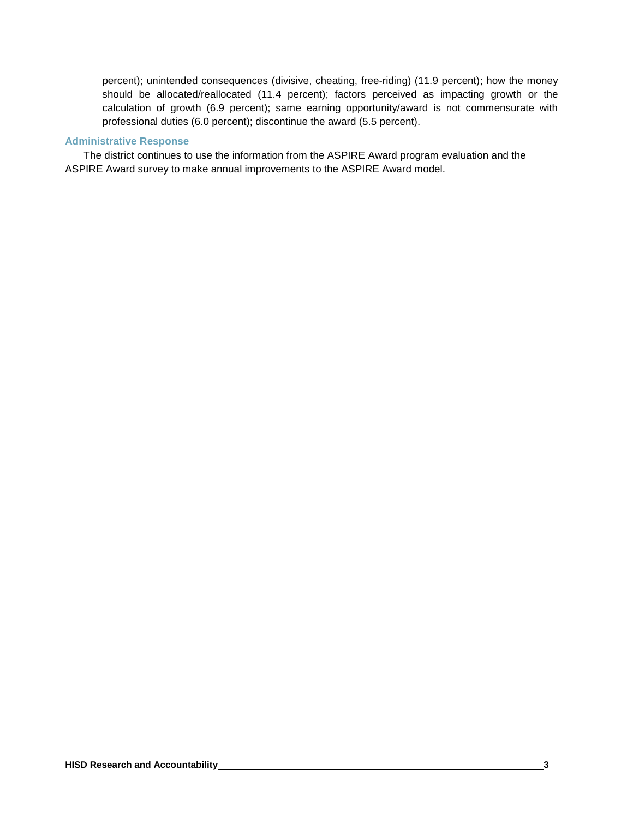percent); unintended consequences (divisive, cheating, free-riding) (11.9 percent); how the money should be allocated/reallocated (11.4 percent); factors perceived as impacting growth or the calculation of growth (6.9 percent); same earning opportunity/award is not commensurate with professional duties (6.0 percent); discontinue the award (5.5 percent).

#### **Administrative Response**

The district continues to use the information from the ASPIRE Award program evaluation and the ASPIRE Award survey to make annual improvements to the ASPIRE Award model.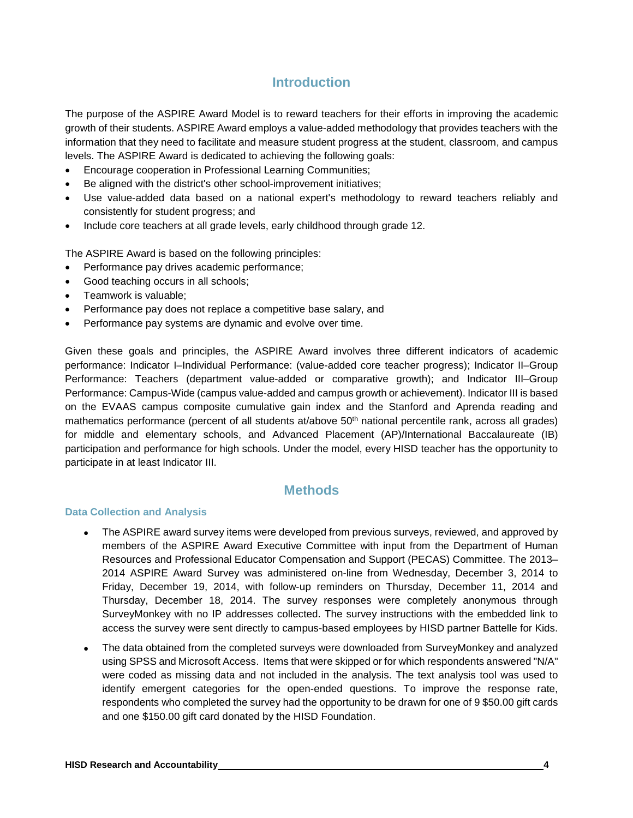# **Introduction**

The purpose of the ASPIRE Award Model is to reward teachers for their efforts in improving the academic growth of their students. ASPIRE Award employs a value-added methodology that provides teachers with the information that they need to facilitate and measure student progress at the student, classroom, and campus levels. The ASPIRE Award is dedicated to achieving the following goals:

- Encourage cooperation in Professional Learning Communities;
- Be aligned with the district's other school-improvement initiatives;
- Use value-added data based on a national expert's methodology to reward teachers reliably and consistently for student progress; and
- Include core teachers at all grade levels, early childhood through grade 12.

The ASPIRE Award is based on the following principles:

- Performance pay drives academic performance;
- Good teaching occurs in all schools;
- Teamwork is valuable;
- Performance pay does not replace a competitive base salary, and
- Performance pay systems are dynamic and evolve over time.

Given these goals and principles, the ASPIRE Award involves three different indicators of academic performance: Indicator I–Individual Performance: (value-added core teacher progress); Indicator II–Group Performance: Teachers (department value-added or comparative growth); and Indicator III–Group Performance: Campus-Wide (campus value-added and campus growth or achievement). Indicator III is based on the EVAAS campus composite cumulative gain index and the Stanford and Aprenda reading and mathematics performance (percent of all students at/above 50<sup>th</sup> national percentile rank, across all grades) for middle and elementary schools, and Advanced Placement (AP)/International Baccalaureate (IB) participation and performance for high schools. Under the model, every HISD teacher has the opportunity to participate in at least Indicator III.

# **Methods**

#### **Data Collection and Analysis**

- The ASPIRE award survey items were developed from previous surveys, reviewed, and approved by members of the ASPIRE Award Executive Committee with input from the Department of Human Resources and Professional Educator Compensation and Support (PECAS) Committee. The 2013– 2014 ASPIRE Award Survey was administered on-line from Wednesday, December 3, 2014 to Friday, December 19, 2014, with follow-up reminders on Thursday, December 11, 2014 and Thursday, December 18, 2014. The survey responses were completely anonymous through SurveyMonkey with no IP addresses collected. The survey instructions with the embedded link to access the survey were sent directly to campus-based employees by HISD partner Battelle for Kids.
- The data obtained from the completed surveys were downloaded from SurveyMonkey and analyzed using SPSS and Microsoft Access. Items that were skipped or for which respondents answered "N/A" were coded as missing data and not included in the analysis. The text analysis tool was used to identify emergent categories for the open-ended questions. To improve the response rate, respondents who completed the survey had the opportunity to be drawn for one of 9 \$50.00 gift cards and one \$150.00 gift card donated by the HISD Foundation.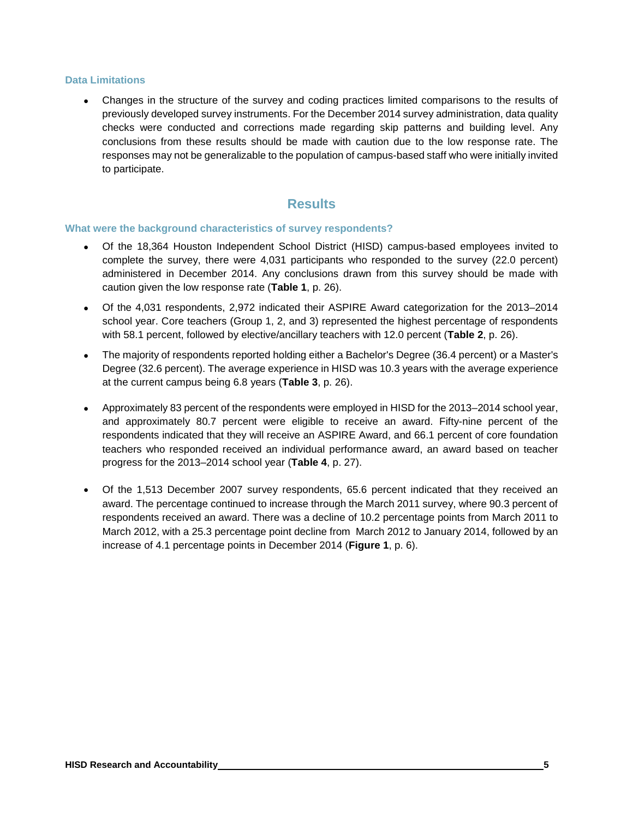#### **Data Limitations**

• Changes in the structure of the survey and coding practices limited comparisons to the results of previously developed survey instruments. For the December 2014 survey administration, data quality checks were conducted and corrections made regarding skip patterns and building level. Any conclusions from these results should be made with caution due to the low response rate. The responses may not be generalizable to the population of campus-based staff who were initially invited to participate.

### **Results**

#### **What were the background characteristics of survey respondents?**

- Of the 18,364 Houston Independent School District (HISD) campus-based employees invited to complete the survey, there were 4,031 participants who responded to the survey (22.0 percent) administered in December 2014. Any conclusions drawn from this survey should be made with caution given the low response rate (**Table 1**, p. 26).
- Of the 4,031 respondents, 2,972 indicated their ASPIRE Award categorization for the 2013–2014 school year. Core teachers (Group 1, 2, and 3) represented the highest percentage of respondents with 58.1 percent, followed by elective/ancillary teachers with 12.0 percent (**Table 2**, p. 26).
- The majority of respondents reported holding either a Bachelor's Degree (36.4 percent) or a Master's Degree (32.6 percent). The average experience in HISD was 10.3 years with the average experience at the current campus being 6.8 years (**Table 3**, p. 26).
- Approximately 83 percent of the respondents were employed in HISD for the 2013–2014 school year, and approximately 80.7 percent were eligible to receive an award. Fifty-nine percent of the respondents indicated that they will receive an ASPIRE Award, and 66.1 percent of core foundation teachers who responded received an individual performance award, an award based on teacher progress for the 2013–2014 school year (**Table 4**, p. 27).
- Of the 1,513 December 2007 survey respondents, 65.6 percent indicated that they received an award. The percentage continued to increase through the March 2011 survey, where 90.3 percent of respondents received an award. There was a decline of 10.2 percentage points from March 2011 to March 2012, with a 25.3 percentage point decline from March 2012 to January 2014, followed by an increase of 4.1 percentage points in December 2014 (**Figure 1**, p. 6).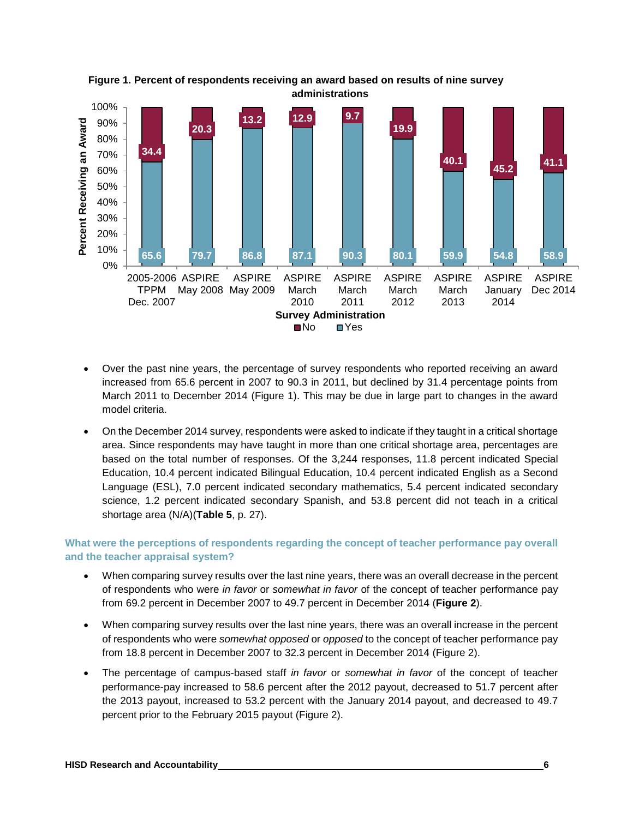

**Figure 1. Percent of respondents receiving an award based on results of nine survey administrations**

- Over the past nine years, the percentage of survey respondents who reported receiving an award increased from 65.6 percent in 2007 to 90.3 in 2011, but declined by 31.4 percentage points from March 2011 to December 2014 (Figure 1). This may be due in large part to changes in the award model criteria.
- On the December 2014 survey, respondents were asked to indicate if they taught in a critical shortage area. Since respondents may have taught in more than one critical shortage area, percentages are based on the total number of responses. Of the 3,244 responses, 11.8 percent indicated Special Education, 10.4 percent indicated Bilingual Education, 10.4 percent indicated English as a Second Language (ESL), 7.0 percent indicated secondary mathematics, 5.4 percent indicated secondary science, 1.2 percent indicated secondary Spanish, and 53.8 percent did not teach in a critical shortage area (N/A)(**Table 5**, p. 27).

#### **What were the perceptions of respondents regarding the concept of teacher performance pay overall and the teacher appraisal system?**

- When comparing survey results over the last nine years, there was an overall decrease in the percent of respondents who were *in favor* or *somewhat in favor* of the concept of teacher performance pay from 69.2 percent in December 2007 to 49.7 percent in December 2014 (**Figure 2**).
- When comparing survey results over the last nine years, there was an overall increase in the percent of respondents who were *somewhat opposed* or *opposed* to the concept of teacher performance pay from 18.8 percent in December 2007 to 32.3 percent in December 2014 (Figure 2).
- The percentage of campus-based staff *in favor* or *somewhat in favor* of the concept of teacher performance-pay increased to 58.6 percent after the 2012 payout, decreased to 51.7 percent after the 2013 payout, increased to 53.2 percent with the January 2014 payout, and decreased to 49.7 percent prior to the February 2015 payout (Figure 2).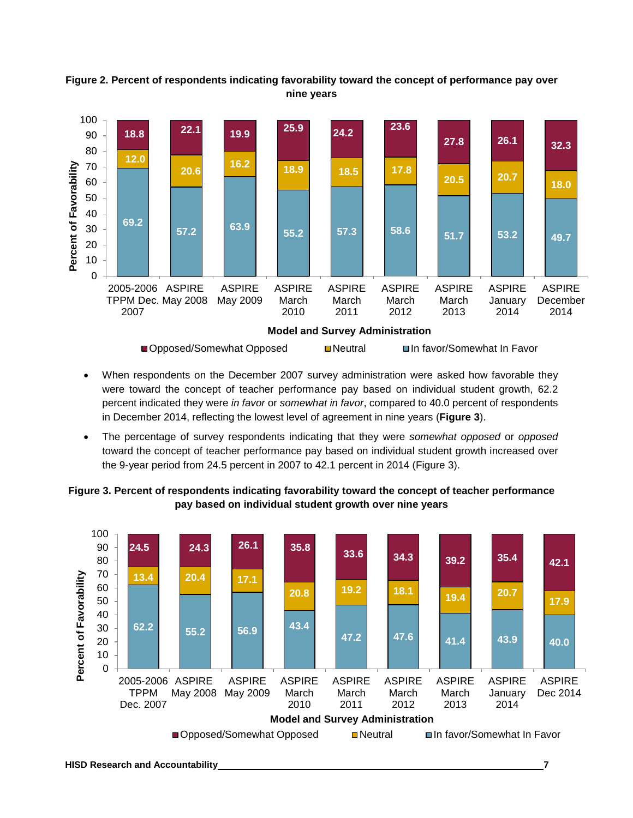

#### **Figure 2. Percent of respondents indicating favorability toward the concept of performance pay over nine years**

- When respondents on the December 2007 survey administration were asked how favorable they were toward the concept of teacher performance pay based on individual student growth, 62.2 percent indicated they were *in favor* or *somewhat in favor*, compared to 40.0 percent of respondents in December 2014, reflecting the lowest level of agreement in nine years (**Figure 3**).
- The percentage of survey respondents indicating that they were *somewhat opposed* or *opposed*  toward the concept of teacher performance pay based on individual student growth increased over the 9-year period from 24.5 percent in 2007 to 42.1 percent in 2014 (Figure 3).

#### **Figure 3. Percent of respondents indicating favorability toward the concept of teacher performance pay based on individual student growth over nine years**

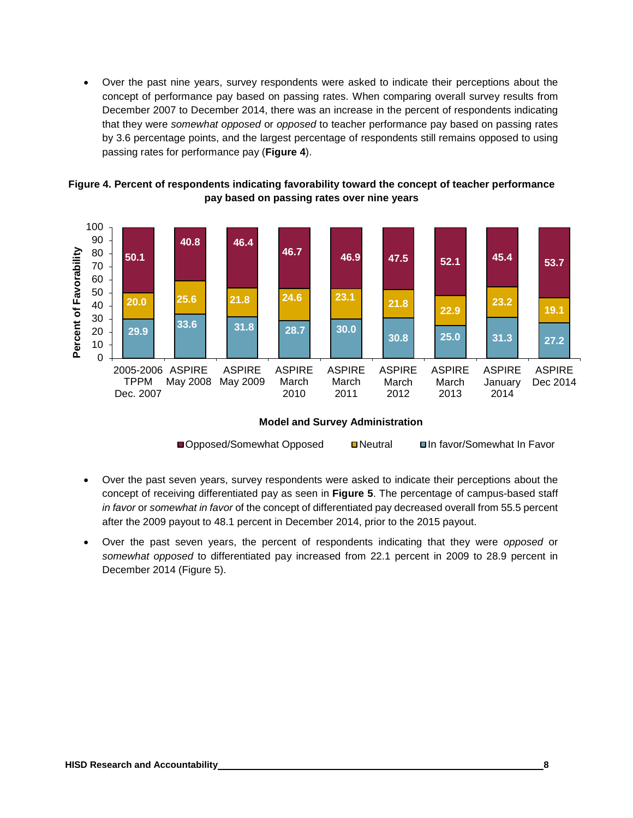• Over the past nine years, survey respondents were asked to indicate their perceptions about the concept of performance pay based on passing rates. When comparing overall survey results from December 2007 to December 2014, there was an increase in the percent of respondents indicating that they were *somewhat opposed* or *opposed* to teacher performance pay based on passing rates by 3.6 percentage points, and the largest percentage of respondents still remains opposed to using passing rates for performance pay (**Figure 4**).





#### **Model and Survey Administration**

| ■Opposed/Somewhat Opposed<br><b>□In favor/Somewhat In Favor</b> |
|-----------------------------------------------------------------|
|-----------------------------------------------------------------|

- Over the past seven years, survey respondents were asked to indicate their perceptions about the concept of receiving differentiated pay as seen in **Figure 5**. The percentage of campus-based staff *in favor* or *somewhat in favor* of the concept of differentiated pay decreased overall from 55.5 percent after the 2009 payout to 48.1 percent in December 2014, prior to the 2015 payout.
- Over the past seven years, the percent of respondents indicating that they were *opposed* or *somewhat opposed* to differentiated pay increased from 22.1 percent in 2009 to 28.9 percent in December 2014 (Figure 5).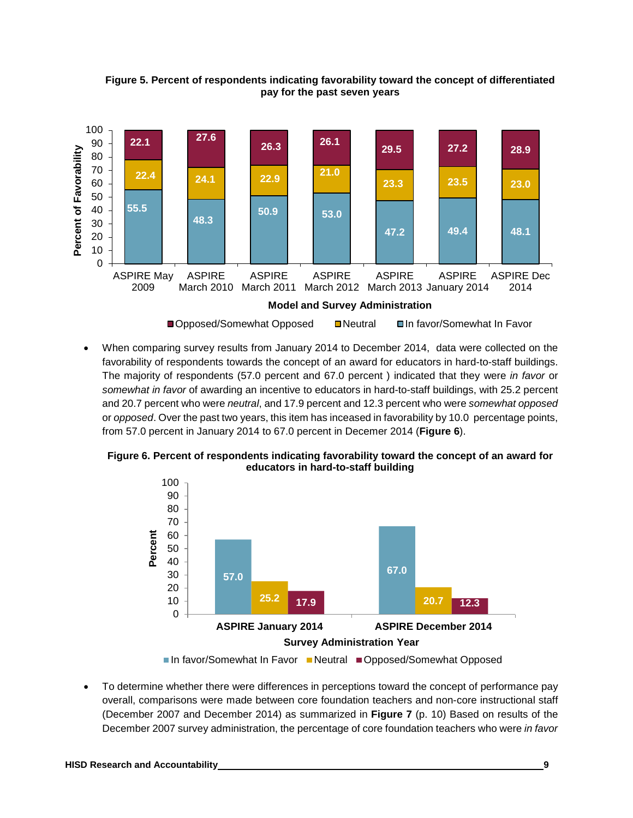**Figure 5. Percent of respondents indicating favorability toward the concept of differentiated pay for the past seven years**



• When comparing survey results from January 2014 to December 2014, data were collected on the favorability of respondents towards the concept of an award for educators in hard-to-staff buildings. The majority of respondents (57.0 percent and 67.0 percent ) indicated that they were *in favor* or *somewhat in favor* of awarding an incentive to educators in hard-to-staff buildings, with 25.2 percent and 20.7 percent who were *neutral*, and 17.9 percent and 12.3 percent who were *somewhat opposed* or *opposed*. Over the past two years, this item has inceased in favorability by 10.0 percentage points, from 57.0 percent in January 2014 to 67.0 percent in Decemer 2014 (**Figure 6**).





- ■In favor/Somewhat In Favor Neutral Opposed/Somewhat Opposed
- To determine whether there were differences in perceptions toward the concept of performance pay overall, comparisons were made between core foundation teachers and non-core instructional staff (December 2007 and December 2014) as summarized in **Figure 7** (p. 10) Based on results of the December 2007 survey administration, the percentage of core foundation teachers who were *in favor*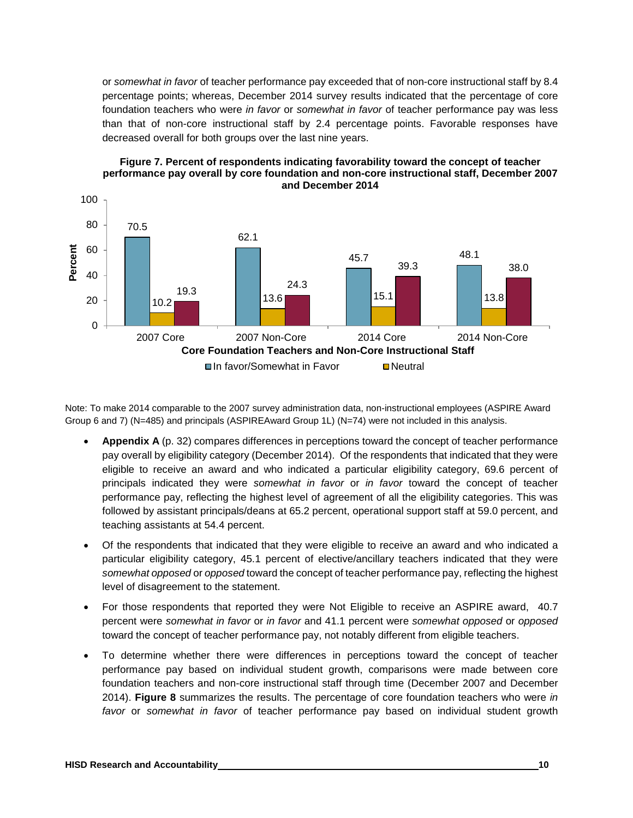or *somewhat in favor* of teacher performance pay exceeded that of non-core instructional staff by 8.4 percentage points; whereas, December 2014 survey results indicated that the percentage of core foundation teachers who were *in favor* or *somewhat in favor* of teacher performance pay was less than that of non-core instructional staff by 2.4 percentage points. Favorable responses have decreased overall for both groups over the last nine years.





Note: To make 2014 comparable to the 2007 survey administration data, non-instructional employees (ASPIRE Award Group 6 and 7) (N=485) and principals (ASPIREAward Group 1L) (N=74) were not included in this analysis.

- **Appendix A** (p. 32) compares differences in perceptions toward the concept of teacher performance pay overall by eligibility category (December 2014). Of the respondents that indicated that they were eligible to receive an award and who indicated a particular eligibility category, 69.6 percent of principals indicated they were *somewhat in favor* or *in favor* toward the concept of teacher performance pay, reflecting the highest level of agreement of all the eligibility categories. This was followed by assistant principals/deans at 65.2 percent, operational support staff at 59.0 percent, and teaching assistants at 54.4 percent.
- Of the respondents that indicated that they were eligible to receive an award and who indicated a particular eligibility category, 45.1 percent of elective/ancillary teachers indicated that they were *somewhat opposed* or *opposed* toward the concept of teacher performance pay, reflecting the highest level of disagreement to the statement.
- For those respondents that reported they were Not Eligible to receive an ASPIRE award, 40.7 percent were *somewhat in favor* or *in favor* and 41.1 percent were *somewhat opposed* or *opposed* toward the concept of teacher performance pay, not notably different from eligible teachers.
- To determine whether there were differences in perceptions toward the concept of teacher performance pay based on individual student growth, comparisons were made between core foundation teachers and non-core instructional staff through time (December 2007 and December 2014). **Figure 8** summarizes the results. The percentage of core foundation teachers who were *in favor* or *somewhat in favor* of teacher performance pay based on individual student growth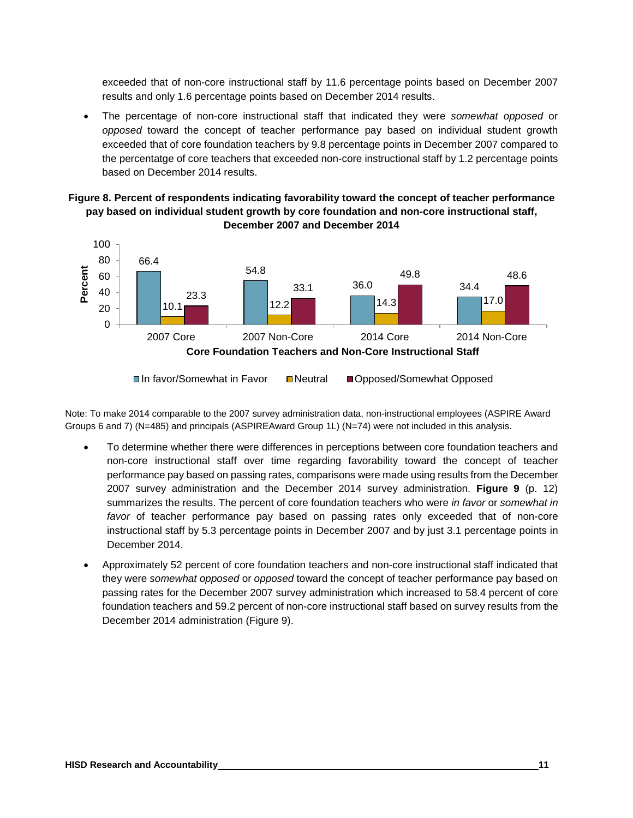exceeded that of non-core instructional staff by 11.6 percentage points based on December 2007 results and only 1.6 percentage points based on December 2014 results.

• The percentage of non-core instructional staff that indicated they were *somewhat opposed* or *opposed* toward the concept of teacher performance pay based on individual student growth exceeded that of core foundation teachers by 9.8 percentage points in December 2007 compared to the percentatge of core teachers that exceeded non-core instructional staff by 1.2 percentage points based on December 2014 results.

#### **Figure 8. Percent of respondents indicating favorability toward the concept of teacher performance pay based on individual student growth by core foundation and non-core instructional staff, December 2007 and December 2014**



Note: To make 2014 comparable to the 2007 survey administration data, non-instructional employees (ASPIRE Award Groups 6 and 7) (N=485) and principals (ASPIREAward Group 1L) (N=74) were not included in this analysis.

- To determine whether there were differences in perceptions between core foundation teachers and non-core instructional staff over time regarding favorability toward the concept of teacher performance pay based on passing rates, comparisons were made using results from the December 2007 survey administration and the December 2014 survey administration. **Figure 9** (p. 12) summarizes the results. The percent of core foundation teachers who were *in favor* or *somewhat in favor* of teacher performance pay based on passing rates only exceeded that of non-core instructional staff by 5.3 percentage points in December 2007 and by just 3.1 percentage points in December 2014.
- Approximately 52 percent of core foundation teachers and non-core instructional staff indicated that they were *somewhat opposed* or *opposed* toward the concept of teacher performance pay based on passing rates for the December 2007 survey administration which increased to 58.4 percent of core foundation teachers and 59.2 percent of non-core instructional staff based on survey results from the December 2014 administration (Figure 9).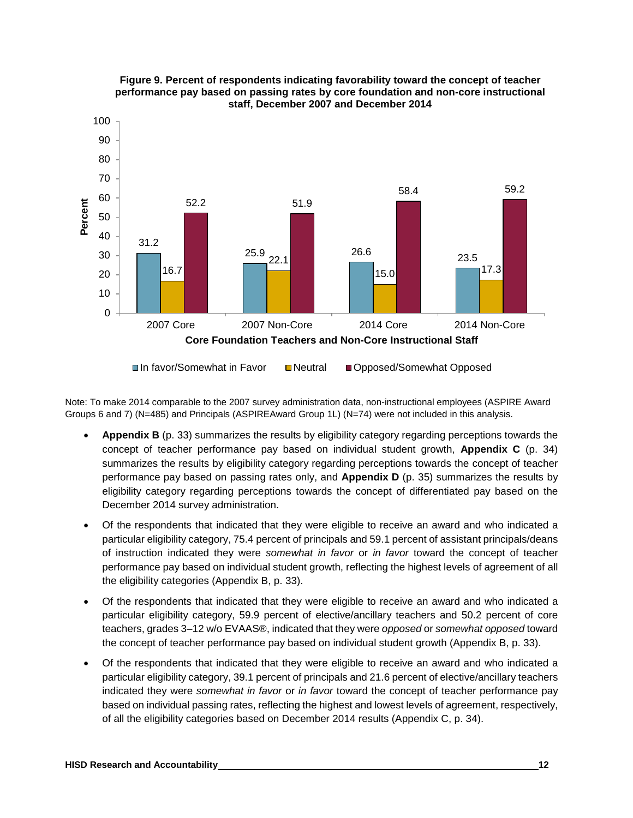

#### **Figure 9. Percent of respondents indicating favorability toward the concept of teacher performance pay based on passing rates by core foundation and non-core instructional staff, December 2007 and December 2014**

Note: To make 2014 comparable to the 2007 survey administration data, non-instructional employees (ASPIRE Award Groups 6 and 7) (N=485) and Principals (ASPIREAward Group 1L) (N=74) were not included in this analysis.

- **Appendix B** (p. 33) summarizes the results by eligibility category regarding perceptions towards the concept of teacher performance pay based on individual student growth, **Appendix C** (p. 34) summarizes the results by eligibility category regarding perceptions towards the concept of teacher performance pay based on passing rates only, and **Appendix D** (p. 35) summarizes the results by eligibility category regarding perceptions towards the concept of differentiated pay based on the December 2014 survey administration.
- Of the respondents that indicated that they were eligible to receive an award and who indicated a particular eligibility category, 75.4 percent of principals and 59.1 percent of assistant principals/deans of instruction indicated they were *somewhat in favor* or *in favor* toward the concept of teacher performance pay based on individual student growth, reflecting the highest levels of agreement of all the eligibility categories (Appendix B, p. 33).
- Of the respondents that indicated that they were eligible to receive an award and who indicated a particular eligibility category, 59.9 percent of elective/ancillary teachers and 50.2 percent of core teachers, grades 3–12 w/o EVAAS®, indicated that they were *opposed* or *somewhat opposed* toward the concept of teacher performance pay based on individual student growth (Appendix B, p. 33).
- Of the respondents that indicated that they were eligible to receive an award and who indicated a particular eligibility category, 39.1 percent of principals and 21.6 percent of elective/ancillary teachers indicated they were *somewhat in favor* or *in favor* toward the concept of teacher performance pay based on individual passing rates, reflecting the highest and lowest levels of agreement, respectively, of all the eligibility categories based on December 2014 results (Appendix C, p. 34).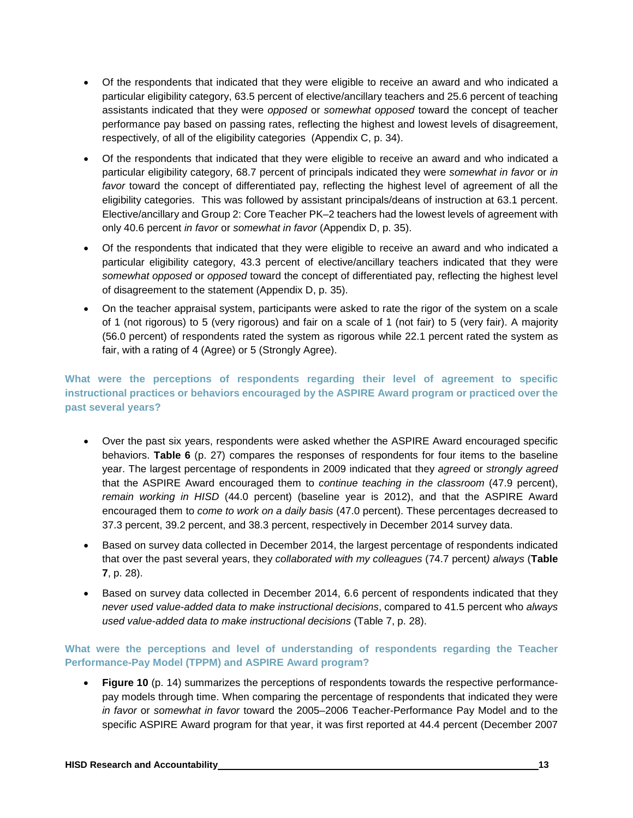- Of the respondents that indicated that they were eligible to receive an award and who indicated a particular eligibility category, 63.5 percent of elective/ancillary teachers and 25.6 percent of teaching assistants indicated that they were *opposed* or *somewhat opposed* toward the concept of teacher performance pay based on passing rates, reflecting the highest and lowest levels of disagreement, respectively, of all of the eligibility categories (Appendix C, p. 34).
- Of the respondents that indicated that they were eligible to receive an award and who indicated a particular eligibility category, 68.7 percent of principals indicated they were *somewhat in favor* or *in favor* toward the concept of differentiated pay, reflecting the highest level of agreement of all the eligibility categories. This was followed by assistant principals/deans of instruction at 63.1 percent. Elective/ancillary and Group 2: Core Teacher PK–2 teachers had the lowest levels of agreement with only 40.6 percent *in favor* or *somewhat in favor* (Appendix D, p. 35).
- Of the respondents that indicated that they were eligible to receive an award and who indicated a particular eligibility category, 43.3 percent of elective/ancillary teachers indicated that they were *somewhat opposed* or *opposed* toward the concept of differentiated pay, reflecting the highest level of disagreement to the statement (Appendix D, p. 35).
- On the teacher appraisal system, participants were asked to rate the rigor of the system on a scale of 1 (not rigorous) to 5 (very rigorous) and fair on a scale of 1 (not fair) to 5 (very fair). A majority (56.0 percent) of respondents rated the system as rigorous while 22.1 percent rated the system as fair, with a rating of 4 (Agree) or 5 (Strongly Agree).

**What were the perceptions of respondents regarding their level of agreement to specific instructional practices or behaviors encouraged by the ASPIRE Award program or practiced over the past several years?**

- Over the past six years, respondents were asked whether the ASPIRE Award encouraged specific behaviors. **Table 6** (p. 27) compares the responses of respondents for four items to the baseline year. The largest percentage of respondents in 2009 indicated that they *agreed* or *strongly agreed* that the ASPIRE Award encouraged them to *continue teaching in the classroom* (47.9 percent), *remain working in HISD* (44.0 percent) (baseline year is 2012), and that the ASPIRE Award encouraged them to *come to work on a daily basis* (47.0 percent). These percentages decreased to 37.3 percent, 39.2 percent, and 38.3 percent, respectively in December 2014 survey data.
- Based on survey data collected in December 2014, the largest percentage of respondents indicated that over the past several years, they *collaborated with my colleagues* (74.7 percent*) always* (**Table 7**, p. 28).
- Based on survey data collected in December 2014, 6.6 percent of respondents indicated that they *never used value-added data to make instructional decisions*, compared to 41.5 percent who *always used value-added data to make instructional decisions* (Table 7, p. 28).

**What were the perceptions and level of understanding of respondents regarding the Teacher Performance-Pay Model (TPPM) and ASPIRE Award program?**

**Figure 10** (p. 14) summarizes the perceptions of respondents towards the respective performancepay models through time. When comparing the percentage of respondents that indicated they were *in favor* or *somewhat in favor* toward the 2005–2006 Teacher-Performance Pay Model and to the specific ASPIRE Award program for that year, it was first reported at 44.4 percent (December 2007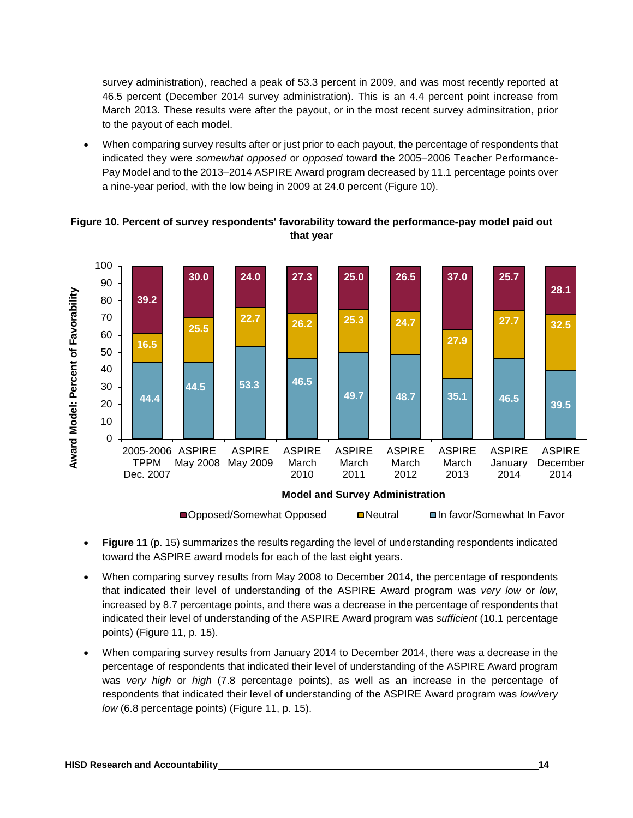survey administration), reached a peak of 53.3 percent in 2009, and was most recently reported at 46.5 percent (December 2014 survey administration). This is an 4.4 percent point increase from March 2013. These results were after the payout, or in the most recent survey adminsitration, prior to the payout of each model.

• When comparing survey results after or just prior to each payout, the percentage of respondents that indicated they were *somewhat opposed* or *opposed* toward the 2005–2006 Teacher Performance-Pay Model and to the 2013–2014 ASPIRE Award program decreased by 11.1 percentage points over a nine-year period, with the low being in 2009 at 24.0 percent (Figure 10).



**Figure 10. Percent of survey respondents' favorability toward the performance-pay model paid out that year**

- **Figure 11** (p. 15) summarizes the results regarding the level of understanding respondents indicated toward the ASPIRE award models for each of the last eight years.
- When comparing survey results from May 2008 to December 2014, the percentage of respondents that indicated their level of understanding of the ASPIRE Award program was *very low* or *low*, increased by 8.7 percentage points, and there was a decrease in the percentage of respondents that indicated their level of understanding of the ASPIRE Award program was *sufficient* (10.1 percentage points) (Figure 11, p. 15).
- When comparing survey results from January 2014 to December 2014, there was a decrease in the percentage of respondents that indicated their level of understanding of the ASPIRE Award program was *very high* or *high* (7.8 percentage points), as well as an increase in the percentage of respondents that indicated their level of understanding of the ASPIRE Award program was *low/very low* (6.8 percentage points) (Figure 11, p. 15).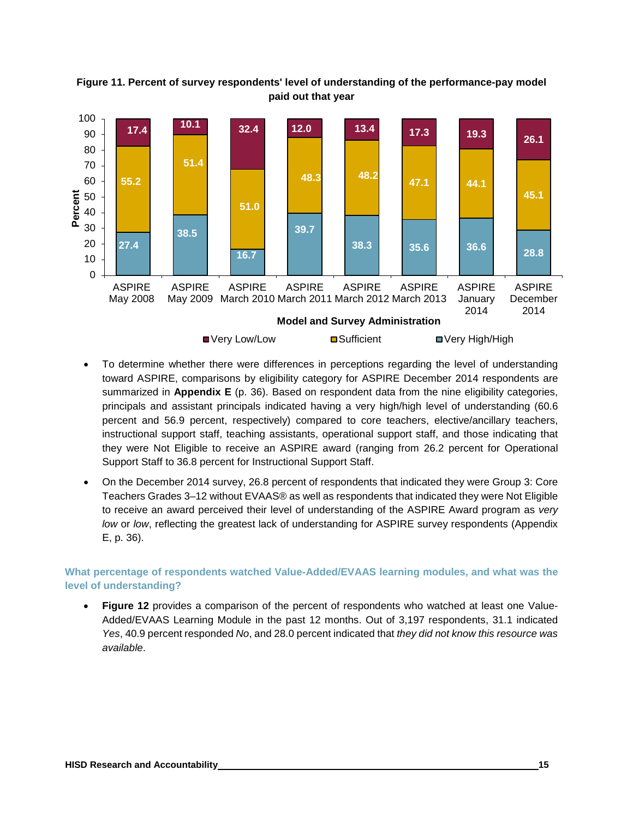

**Figure 11. Percent of survey respondents' level of understanding of the performance-pay model paid out that year**

- To determine whether there were differences in perceptions regarding the level of understanding toward ASPIRE, comparisons by eligibility category for ASPIRE December 2014 respondents are summarized in **Appendix E** (p. 36). Based on respondent data from the nine eligibility categories, principals and assistant principals indicated having a very high/high level of understanding (60.6 percent and 56.9 percent, respectively) compared to core teachers, elective/ancillary teachers, instructional support staff, teaching assistants, operational support staff, and those indicating that they were Not Eligible to receive an ASPIRE award (ranging from 26.2 percent for Operational Support Staff to 36.8 percent for Instructional Support Staff.
- On the December 2014 survey, 26.8 percent of respondents that indicated they were Group 3: Core Teachers Grades 3–12 without EVAAS® as well as respondents that indicated they were Not Eligible to receive an award perceived their level of understanding of the ASPIRE Award program as *very low* or *low*, reflecting the greatest lack of understanding for ASPIRE survey respondents (Appendix E, p. 36).

**What percentage of respondents watched Value-Added/EVAAS learning modules, and what was the level of understanding?**

• **Figure 12** provides a comparison of the percent of respondents who watched at least one Value-Added/EVAAS Learning Module in the past 12 months. Out of 3,197 respondents, 31.1 indicated *Yes*, 40.9 percent responded *No*, and 28.0 percent indicated that *they did not know this resource was available*.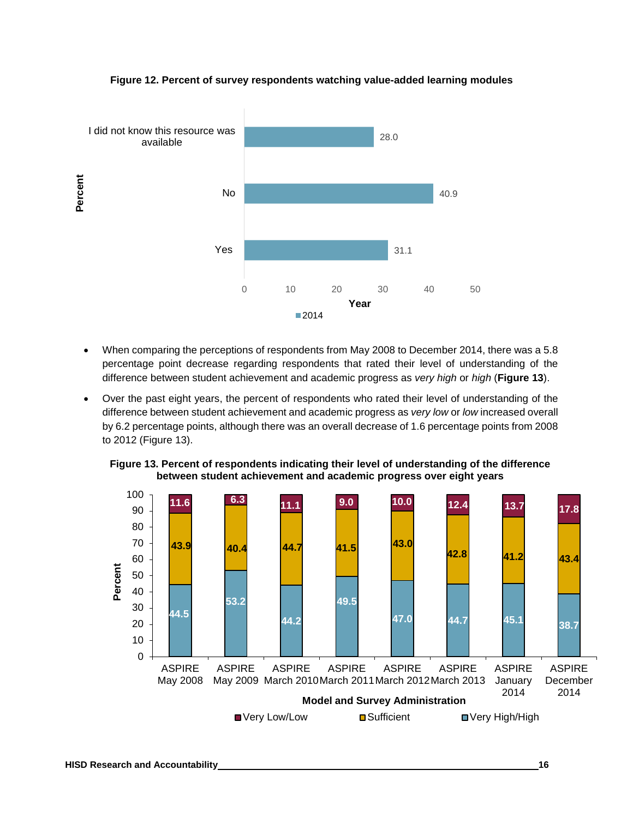

#### **Figure 12. Percent of survey respondents watching value-added learning modules**

- When comparing the perceptions of respondents from May 2008 to December 2014, there was a 5.8 percentage point decrease regarding respondents that rated their level of understanding of the difference between student achievement and academic progress as *very high* or *high* (**Figure 13**).
- Over the past eight years, the percent of respondents who rated their level of understanding of the difference between student achievement and academic progress as *very low* or *low* increased overall by 6.2 percentage points, although there was an overall decrease of 1.6 percentage points from 2008 to 2012 (Figure 13).



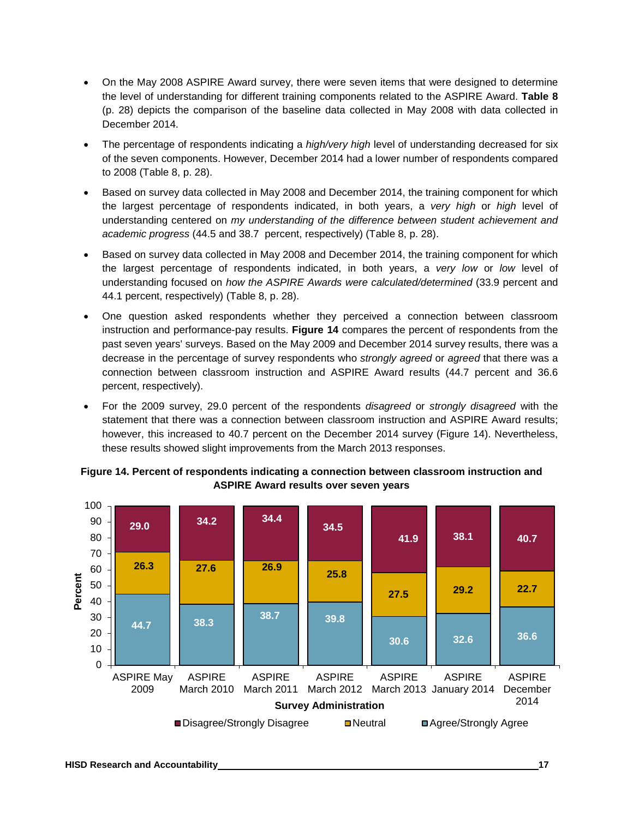- On the May 2008 ASPIRE Award survey, there were seven items that were designed to determine the level of understanding for different training components related to the ASPIRE Award. **Table 8** (p. 28) depicts the comparison of the baseline data collected in May 2008 with data collected in December 2014.
- The percentage of respondents indicating a *high/very high* level of understanding decreased for six of the seven components. However, December 2014 had a lower number of respondents compared to 2008 (Table 8, p. 28).
- Based on survey data collected in May 2008 and December 2014, the training component for which the largest percentage of respondents indicated, in both years, a *very high* or *high* level of understanding centered on *my understanding of the difference between student achievement and academic progress* (44.5 and 38.7 percent, respectively) (Table 8, p. 28).
- Based on survey data collected in May 2008 and December 2014, the training component for which the largest percentage of respondents indicated, in both years, a *very low* or *low* level of understanding focused on *how the ASPIRE Awards were calculated/determined* (33.9 percent and 44.1 percent, respectively) (Table 8, p. 28).
- One question asked respondents whether they perceived a connection between classroom instruction and performance-pay results. **Figure 14** compares the percent of respondents from the past seven years' surveys. Based on the May 2009 and December 2014 survey results, there was a decrease in the percentage of survey respondents who *strongly agreed* or *agreed* that there was a connection between classroom instruction and ASPIRE Award results (44.7 percent and 36.6 percent, respectively).
- For the 2009 survey, 29.0 percent of the respondents *disagreed* or *strongly disagreed* with the statement that there was a connection between classroom instruction and ASPIRE Award results; however, this increased to 40.7 percent on the December 2014 survey (Figure 14). Nevertheless, these results showed slight improvements from the March 2013 responses.



#### **Figure 14. Percent of respondents indicating a connection between classroom instruction and ASPIRE Award results over seven years**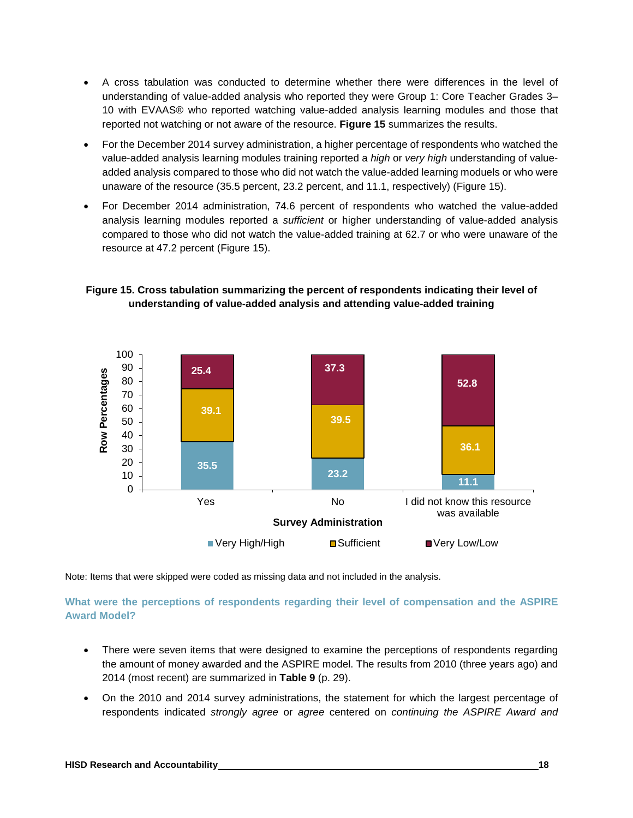- A cross tabulation was conducted to determine whether there were differences in the level of understanding of value-added analysis who reported they were Group 1: Core Teacher Grades 3– 10 with EVAAS® who reported watching value-added analysis learning modules and those that reported not watching or not aware of the resource. **Figure 15** summarizes the results.
- For the December 2014 survey administration, a higher percentage of respondents who watched the value-added analysis learning modules training reported a *high* or *very high* understanding of valueadded analysis compared to those who did not watch the value-added learning moduels or who were unaware of the resource (35.5 percent, 23.2 percent, and 11.1, respectively) (Figure 15).
- For December 2014 administration, 74.6 percent of respondents who watched the value-added analysis learning modules reported a *sufficient* or higher understanding of value-added analysis compared to those who did not watch the value-added training at 62.7 or who were unaware of the resource at 47.2 percent (Figure 15).





Note: Items that were skipped were coded as missing data and not included in the analysis.

#### **What were the perceptions of respondents regarding their level of compensation and the ASPIRE Award Model?**

- There were seven items that were designed to examine the perceptions of respondents regarding the amount of money awarded and the ASPIRE model. The results from 2010 (three years ago) and 2014 (most recent) are summarized in **Table 9** (p. 29).
- On the 2010 and 2014 survey administrations, the statement for which the largest percentage of respondents indicated *strongly agree* or *agree* centered on *continuing the ASPIRE Award and*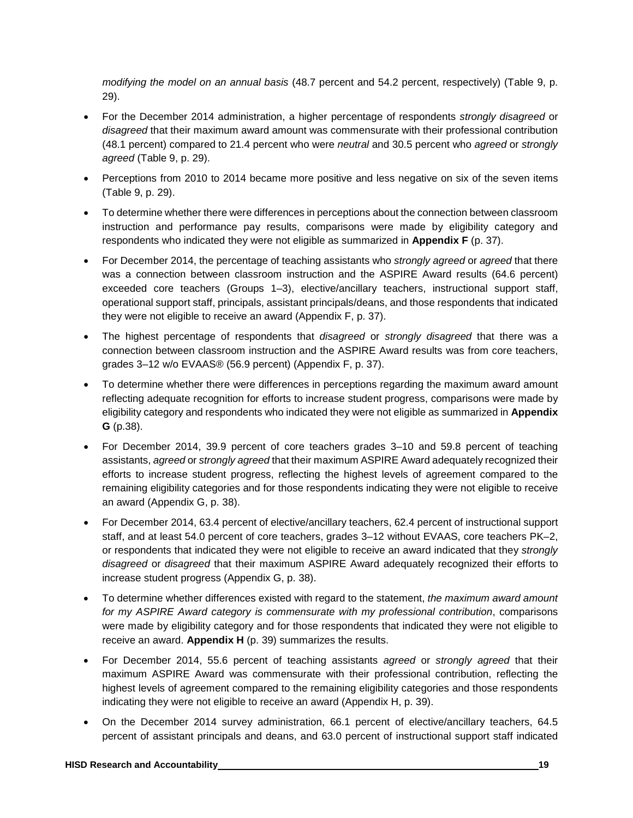*modifying the model on an annual basis* (48.7 percent and 54.2 percent, respectively) (Table 9, p. 29).

- For the December 2014 administration, a higher percentage of respondents *strongly disagreed* or *disagreed* that their maximum award amount was commensurate with their professional contribution (48.1 percent) compared to 21.4 percent who were *neutral* and 30.5 percent who *agreed* or *strongly agreed* (Table 9, p. 29).
- Perceptions from 2010 to 2014 became more positive and less negative on six of the seven items (Table 9, p. 29).
- To determine whether there were differences in perceptions about the connection between classroom instruction and performance pay results, comparisons were made by eligibility category and respondents who indicated they were not eligible as summarized in **Appendix F** (p. 37).
- For December 2014, the percentage of teaching assistants who *strongly agreed* or *agreed* that there was a connection between classroom instruction and the ASPIRE Award results (64.6 percent) exceeded core teachers (Groups 1–3), elective/ancillary teachers, instructional support staff, operational support staff, principals, assistant principals/deans, and those respondents that indicated they were not eligible to receive an award (Appendix F, p. 37).
- The highest percentage of respondents that *disagreed* or *strongly disagreed* that there was a connection between classroom instruction and the ASPIRE Award results was from core teachers, grades 3–12 w/o EVAAS® (56.9 percent) (Appendix F, p. 37).
- To determine whether there were differences in perceptions regarding the maximum award amount reflecting adequate recognition for efforts to increase student progress, comparisons were made by eligibility category and respondents who indicated they were not eligible as summarized in **Appendix G** (p.38).
- For December 2014, 39.9 percent of core teachers grades 3–10 and 59.8 percent of teaching assistants, *agreed* or *strongly agreed* that their maximum ASPIRE Award adequately recognized their efforts to increase student progress, reflecting the highest levels of agreement compared to the remaining eligibility categories and for those respondents indicating they were not eligible to receive an award (Appendix G, p. 38).
- For December 2014, 63.4 percent of elective/ancillary teachers, 62.4 percent of instructional support staff, and at least 54.0 percent of core teachers, grades 3–12 without EVAAS, core teachers PK–2, or respondents that indicated they were not eligible to receive an award indicated that they *strongly disagreed* or *disagreed* that their maximum ASPIRE Award adequately recognized their efforts to increase student progress (Appendix G, p. 38).
- To determine whether differences existed with regard to the statement, *the maximum award amount for my ASPIRE Award category is commensurate with my professional contribution*, comparisons were made by eligibility category and for those respondents that indicated they were not eligible to receive an award. **Appendix H** (p. 39) summarizes the results.
- For December 2014, 55.6 percent of teaching assistants *agreed* or *strongly agreed* that their maximum ASPIRE Award was commensurate with their professional contribution, reflecting the highest levels of agreement compared to the remaining eligibility categories and those respondents indicating they were not eligible to receive an award (Appendix H, p. 39).
- On the December 2014 survey administration, 66.1 percent of elective/ancillary teachers, 64.5 percent of assistant principals and deans, and 63.0 percent of instructional support staff indicated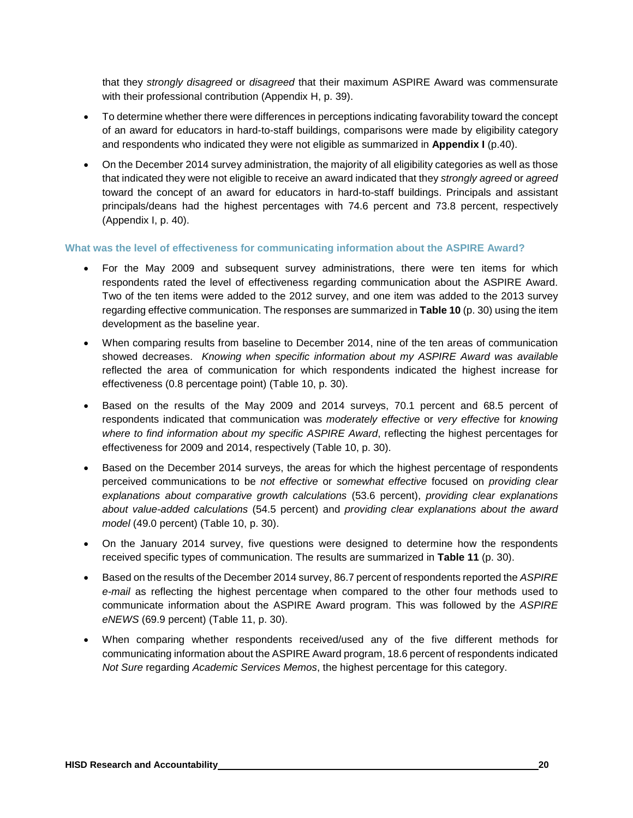that they *strongly disagreed* or *disagreed* that their maximum ASPIRE Award was commensurate with their professional contribution (Appendix H, p. 39).

- To determine whether there were differences in perceptions indicating favorability toward the concept of an award for educators in hard-to-staff buildings, comparisons were made by eligibility category and respondents who indicated they were not eligible as summarized in **Appendix I** (p.40).
- On the December 2014 survey administration, the majority of all eligibility categories as well as those that indicated they were not eligible to receive an award indicated that they *strongly agreed* or *agreed* toward the concept of an award for educators in hard-to-staff buildings. Principals and assistant principals/deans had the highest percentages with 74.6 percent and 73.8 percent, respectively (Appendix I, p. 40).

#### **What was the level of effectiveness for communicating information about the ASPIRE Award?**

- For the May 2009 and subsequent survey administrations, there were ten items for which respondents rated the level of effectiveness regarding communication about the ASPIRE Award. Two of the ten items were added to the 2012 survey, and one item was added to the 2013 survey regarding effective communication. The responses are summarized in **Table 10** (p. 30) using the item development as the baseline year.
- When comparing results from baseline to December 2014, nine of the ten areas of communication showed decreases. *Knowing when specific information about my ASPIRE Award was available* reflected the area of communication for which respondents indicated the highest increase for effectiveness (0.8 percentage point) (Table 10, p. 30).
- Based on the results of the May 2009 and 2014 surveys, 70.1 percent and 68.5 percent of respondents indicated that communication was *moderately effective* or *very effective* for *knowing where to find information about my specific ASPIRE Award*, reflecting the highest percentages for effectiveness for 2009 and 2014, respectively (Table 10, p. 30).
- Based on the December 2014 surveys, the areas for which the highest percentage of respondents perceived communications to be *not effective* or *somewhat effective* focused on *providing clear explanations about comparative growth calculations* (53.6 percent), *providing clear explanations about value-added calculations* (54.5 percent) and *providing clear explanations about the award model* (49.0 percent) (Table 10, p. 30).
- On the January 2014 survey, five questions were designed to determine how the respondents received specific types of communication. The results are summarized in **Table 11** (p. 30).
- Based on the results of the December 2014 survey, 86.7 percent of respondents reported the *ASPIRE e-mail* as reflecting the highest percentage when compared to the other four methods used to communicate information about the ASPIRE Award program. This was followed by the *ASPIRE eNEWS* (69.9 percent) (Table 11, p. 30).
- When comparing whether respondents received/used any of the five different methods for communicating information about the ASPIRE Award program, 18.6 percent of respondents indicated *Not Sure* regarding *Academic Services Memos*, the highest percentage for this category.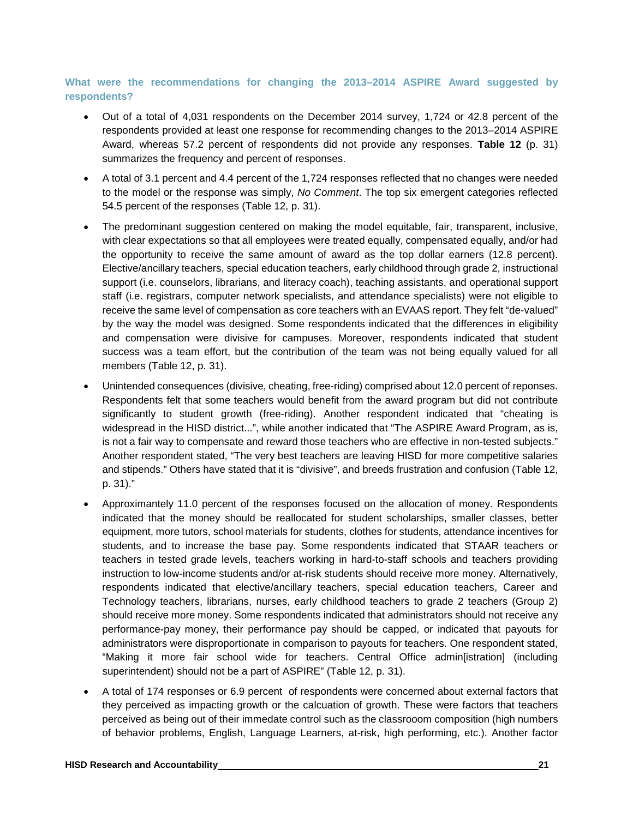#### **What were the recommendations for changing the 2013–2014 ASPIRE Award suggested by respondents?**

- Out of a total of 4,031 respondents on the December 2014 survey, 1,724 or 42.8 percent of the respondents provided at least one response for recommending changes to the 2013–2014 ASPIRE Award, whereas 57.2 percent of respondents did not provide any responses. **Table 12** (p. 31) summarizes the frequency and percent of responses.
- A total of 3.1 percent and 4.4 percent of the 1,724 responses reflected that no changes were needed to the model or the response was simply, *No Comment*. The top six emergent categories reflected 54.5 percent of the responses (Table 12, p. 31).
- The predominant suggestion centered on making the model equitable, fair, transparent, inclusive, with clear expectations so that all employees were treated equally, compensated equally, and/or had the opportunity to receive the same amount of award as the top dollar earners (12.8 percent). Elective/ancillary teachers, special education teachers, early childhood through grade 2, instructional support (i.e. counselors, librarians, and literacy coach), teaching assistants, and operational support staff (i.e. registrars, computer network specialists, and attendance specialists) were not eligible to receive the same level of compensation as core teachers with an EVAAS report. They felt "de-valued" by the way the model was designed. Some respondents indicated that the differences in eligibility and compensation were divisive for campuses. Moreover, respondents indicated that student success was a team effort, but the contribution of the team was not being equally valued for all members (Table 12, p. 31).
- Unintended consequences (divisive, cheating, free-riding) comprised about 12.0 percent of reponses. Respondents felt that some teachers would benefit from the award program but did not contribute significantly to student growth (free-riding). Another respondent indicated that "cheating is widespread in the HISD district...", while another indicated that "The ASPIRE Award Program, as is, is not a fair way to compensate and reward those teachers who are effective in non-tested subjects." Another respondent stated, "The very best teachers are leaving HISD for more competitive salaries and stipends." Others have stated that it is "divisive", and breeds frustration and confusion (Table 12, p. 31)."
- Approximantely 11.0 percent of the responses focused on the allocation of money. Respondents indicated that the money should be reallocated for student scholarships, smaller classes, better equipment, more tutors, school materials for students, clothes for students, attendance incentives for students, and to increase the base pay. Some respondents indicated that STAAR teachers or teachers in tested grade levels, teachers working in hard-to-staff schools and teachers providing instruction to low-income students and/or at-risk students should receive more money. Alternatively, respondents indicated that elective/ancillary teachers, special education teachers, Career and Technology teachers, librarians, nurses, early childhood teachers to grade 2 teachers (Group 2) should receive more money. Some respondents indicated that administrators should not receive any performance-pay money, their performance pay should be capped, or indicated that payouts for administrators were disproportionate in comparison to payouts for teachers. One respondent stated, "Making it more fair school wide for teachers. Central Office admin[istration] (including superintendent) should not be a part of ASPIRE" (Table 12, p. 31).
- A total of 174 responses or 6.9 percent of respondents were concerned about external factors that they perceived as impacting growth or the calcuation of growth. These were factors that teachers perceived as being out of their immedate control such as the classrooom composition (high numbers of behavior problems, English, Language Learners, at-risk, high performing, etc.). Another factor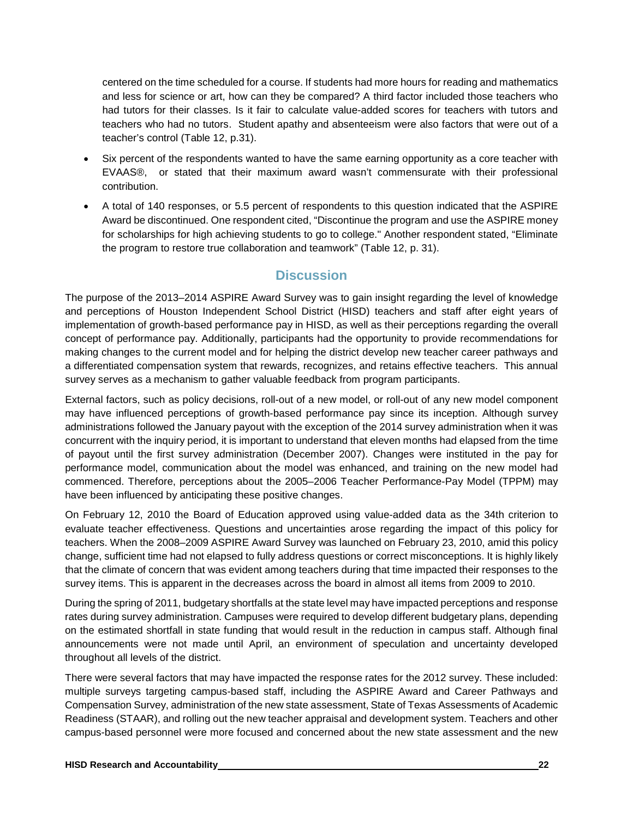centered on the time scheduled for a course. If students had more hours for reading and mathematics and less for science or art, how can they be compared? A third factor included those teachers who had tutors for their classes. Is it fair to calculate value-added scores for teachers with tutors and teachers who had no tutors. Student apathy and absenteeism were also factors that were out of a teacher's control (Table 12, p.31).

- Six percent of the respondents wanted to have the same earning opportunity as a core teacher with EVAAS®, or stated that their maximum award wasn't commensurate with their professional contribution.
- A total of 140 responses, or 5.5 percent of respondents to this question indicated that the ASPIRE Award be discontinued. One respondent cited, "Discontinue the program and use the ASPIRE money for scholarships for high achieving students to go to college." Another respondent stated, "Eliminate the program to restore true collaboration and teamwork" (Table 12, p. 31).

# **Discussion**

The purpose of the 2013–2014 ASPIRE Award Survey was to gain insight regarding the level of knowledge and perceptions of Houston Independent School District (HISD) teachers and staff after eight years of implementation of growth-based performance pay in HISD, as well as their perceptions regarding the overall concept of performance pay. Additionally, participants had the opportunity to provide recommendations for making changes to the current model and for helping the district develop new teacher career pathways and a differentiated compensation system that rewards, recognizes, and retains effective teachers. This annual survey serves as a mechanism to gather valuable feedback from program participants.

External factors, such as policy decisions, roll-out of a new model, or roll-out of any new model component may have influenced perceptions of growth-based performance pay since its inception. Although survey administrations followed the January payout with the exception of the 2014 survey administration when it was concurrent with the inquiry period, it is important to understand that eleven months had elapsed from the time of payout until the first survey administration (December 2007). Changes were instituted in the pay for performance model, communication about the model was enhanced, and training on the new model had commenced. Therefore, perceptions about the 2005–2006 Teacher Performance-Pay Model (TPPM) may have been influenced by anticipating these positive changes.

On February 12, 2010 the Board of Education approved using value-added data as the 34th criterion to evaluate teacher effectiveness. Questions and uncertainties arose regarding the impact of this policy for teachers. When the 2008–2009 ASPIRE Award Survey was launched on February 23, 2010, amid this policy change, sufficient time had not elapsed to fully address questions or correct misconceptions. It is highly likely that the climate of concern that was evident among teachers during that time impacted their responses to the survey items. This is apparent in the decreases across the board in almost all items from 2009 to 2010.

During the spring of 2011, budgetary shortfalls at the state level may have impacted perceptions and response rates during survey administration. Campuses were required to develop different budgetary plans, depending on the estimated shortfall in state funding that would result in the reduction in campus staff. Although final announcements were not made until April, an environment of speculation and uncertainty developed throughout all levels of the district.

There were several factors that may have impacted the response rates for the 2012 survey. These included: multiple surveys targeting campus-based staff, including the ASPIRE Award and Career Pathways and Compensation Survey, administration of the new state assessment, State of Texas Assessments of Academic Readiness (STAAR), and rolling out the new teacher appraisal and development system. Teachers and other campus-based personnel were more focused and concerned about the new state assessment and the new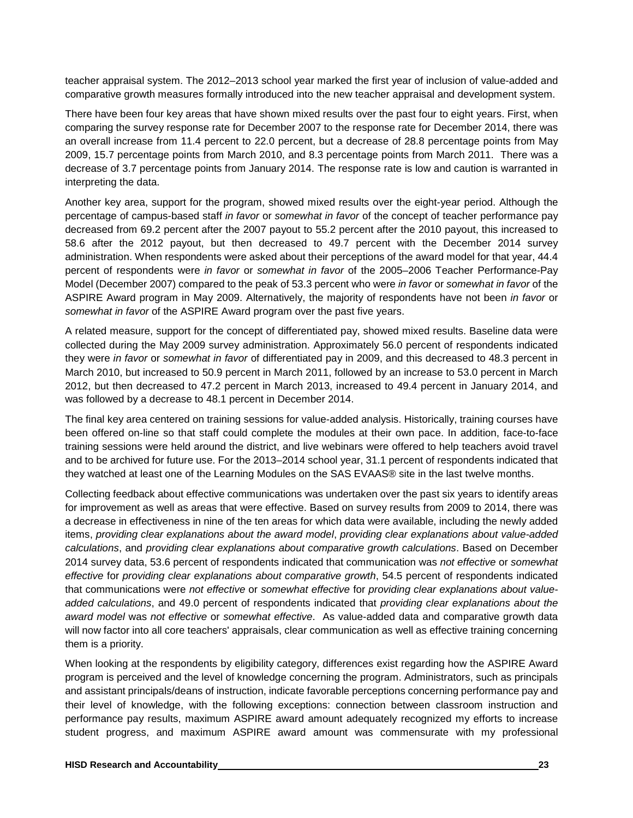teacher appraisal system. The 2012–2013 school year marked the first year of inclusion of value-added and comparative growth measures formally introduced into the new teacher appraisal and development system.

There have been four key areas that have shown mixed results over the past four to eight years. First, when comparing the survey response rate for December 2007 to the response rate for December 2014, there was an overall increase from 11.4 percent to 22.0 percent, but a decrease of 28.8 percentage points from May 2009, 15.7 percentage points from March 2010, and 8.3 percentage points from March 2011. There was a decrease of 3.7 percentage points from January 2014. The response rate is low and caution is warranted in interpreting the data.

Another key area, support for the program, showed mixed results over the eight-year period. Although the percentage of campus-based staff *in favor* or *somewhat in favor* of the concept of teacher performance pay decreased from 69.2 percent after the 2007 payout to 55.2 percent after the 2010 payout, this increased to 58.6 after the 2012 payout, but then decreased to 49.7 percent with the December 2014 survey administration. When respondents were asked about their perceptions of the award model for that year, 44.4 percent of respondents were *in favor* or *somewhat in favor* of the 2005–2006 Teacher Performance-Pay Model (December 2007) compared to the peak of 53.3 percent who were *in favor* or *somewhat in favor* of the ASPIRE Award program in May 2009. Alternatively, the majority of respondents have not been *in favor* or *somewhat in favor* of the ASPIRE Award program over the past five years.

A related measure, support for the concept of differentiated pay, showed mixed results. Baseline data were collected during the May 2009 survey administration. Approximately 56.0 percent of respondents indicated they were *in favor* or *somewhat in favor* of differentiated pay in 2009, and this decreased to 48.3 percent in March 2010, but increased to 50.9 percent in March 2011, followed by an increase to 53.0 percent in March 2012, but then decreased to 47.2 percent in March 2013, increased to 49.4 percent in January 2014, and was followed by a decrease to 48.1 percent in December 2014.

The final key area centered on training sessions for value-added analysis. Historically, training courses have been offered on-line so that staff could complete the modules at their own pace. In addition, face-to-face training sessions were held around the district, and live webinars were offered to help teachers avoid travel and to be archived for future use. For the 2013–2014 school year, 31.1 percent of respondents indicated that they watched at least one of the Learning Modules on the SAS EVAAS® site in the last twelve months.

Collecting feedback about effective communications was undertaken over the past six years to identify areas for improvement as well as areas that were effective. Based on survey results from 2009 to 2014, there was a decrease in effectiveness in nine of the ten areas for which data were available, including the newly added items, *providing clear explanations about the award model*, *providing clear explanations about value-added calculations*, and *providing clear explanations about comparative growth calculations*. Based on December 2014 survey data, 53.6 percent of respondents indicated that communication was *not effective* or *somewhat effective* for *providing clear explanations about comparative growth*, 54.5 percent of respondents indicated that communications were *not effective* or *somewhat effective* for *providing clear explanations about valueadded calculations*, and 49.0 percent of respondents indicated that *providing clear explanations about the award model* was *not effective* or *somewhat effective*. As value-added data and comparative growth data will now factor into all core teachers' appraisals, clear communication as well as effective training concerning them is a priority.

When looking at the respondents by eligibility category, differences exist regarding how the ASPIRE Award program is perceived and the level of knowledge concerning the program. Administrators, such as principals and assistant principals/deans of instruction, indicate favorable perceptions concerning performance pay and their level of knowledge, with the following exceptions: connection between classroom instruction and performance pay results, maximum ASPIRE award amount adequately recognized my efforts to increase student progress, and maximum ASPIRE award amount was commensurate with my professional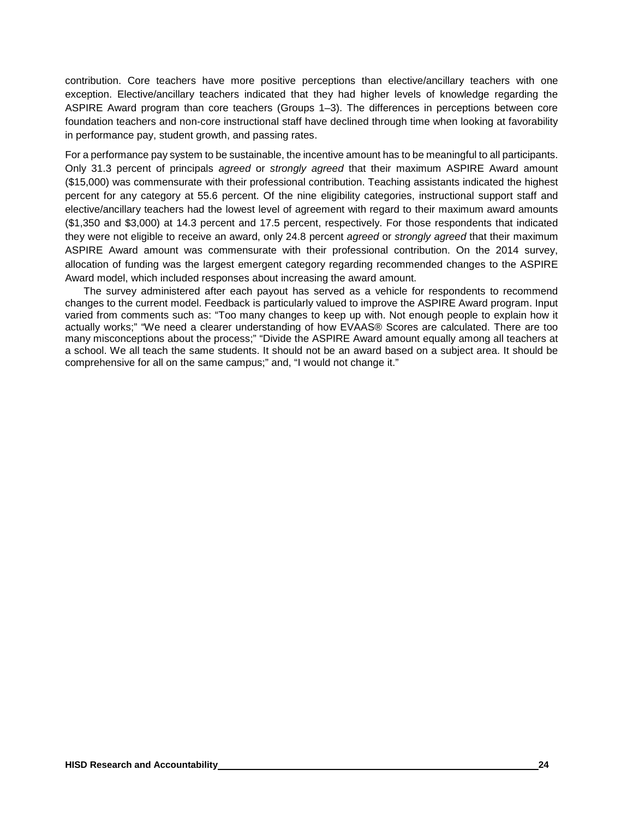contribution. Core teachers have more positive perceptions than elective/ancillary teachers with one exception. Elective/ancillary teachers indicated that they had higher levels of knowledge regarding the ASPIRE Award program than core teachers (Groups 1–3). The differences in perceptions between core foundation teachers and non-core instructional staff have declined through time when looking at favorability in performance pay, student growth, and passing rates.

For a performance pay system to be sustainable, the incentive amount has to be meaningful to all participants. Only 31.3 percent of principals *agreed* or *strongly agreed* that their maximum ASPIRE Award amount (\$15,000) was commensurate with their professional contribution. Teaching assistants indicated the highest percent for any category at 55.6 percent. Of the nine eligibility categories, instructional support staff and elective/ancillary teachers had the lowest level of agreement with regard to their maximum award amounts (\$1,350 and \$3,000) at 14.3 percent and 17.5 percent, respectively. For those respondents that indicated they were not eligible to receive an award, only 24.8 percent *agreed* or *strongly agreed* that their maximum ASPIRE Award amount was commensurate with their professional contribution. On the 2014 survey, allocation of funding was the largest emergent category regarding recommended changes to the ASPIRE Award model, which included responses about increasing the award amount.

The survey administered after each payout has served as a vehicle for respondents to recommend changes to the current model. Feedback is particularly valued to improve the ASPIRE Award program. Input varied from comments such as: "Too many changes to keep up with. Not enough people to explain how it actually works;" "We need a clearer understanding of how EVAAS® Scores are calculated. There are too many misconceptions about the process;" "Divide the ASPIRE Award amount equally among all teachers at a school. We all teach the same students. It should not be an award based on a subject area. It should be comprehensive for all on the same campus;" and, "I would not change it."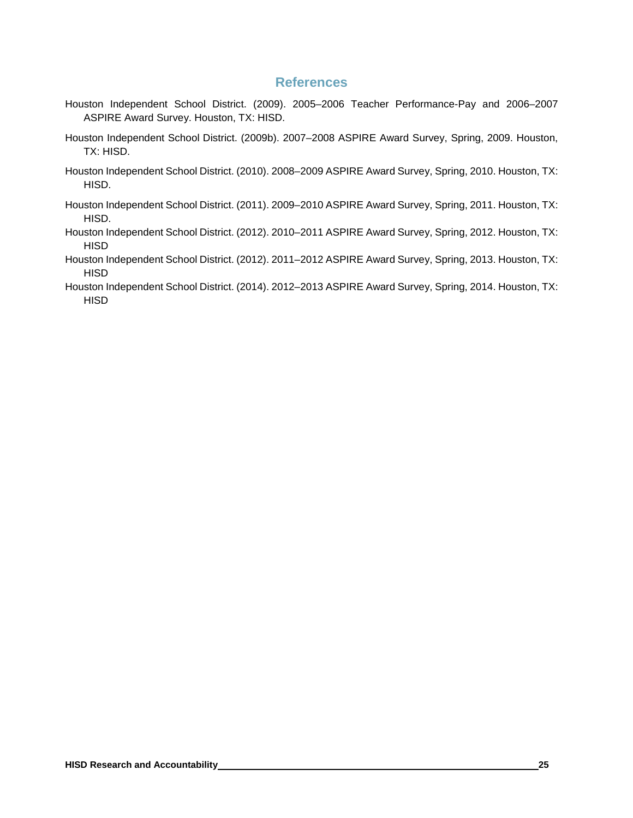### **References**

- Houston Independent School District. (2009). 2005–2006 Teacher Performance-Pay and 2006–2007 ASPIRE Award Survey. Houston, TX: HISD.
- Houston Independent School District. (2009b). 2007–2008 ASPIRE Award Survey, Spring, 2009. Houston, TX: HISD.
- Houston Independent School District. (2010). 2008–2009 ASPIRE Award Survey, Spring, 2010. Houston, TX: HISD.
- Houston Independent School District. (2011). 2009–2010 ASPIRE Award Survey, Spring, 2011. Houston, TX: HISD.
- Houston Independent School District. (2012). 2010–2011 ASPIRE Award Survey, Spring, 2012. Houston, TX: **HISD**
- Houston Independent School District. (2012). 2011–2012 ASPIRE Award Survey, Spring, 2013. Houston, TX: **HISD**
- Houston Independent School District. (2014). 2012–2013 ASPIRE Award Survey, Spring, 2014. Houston, TX: **HISD**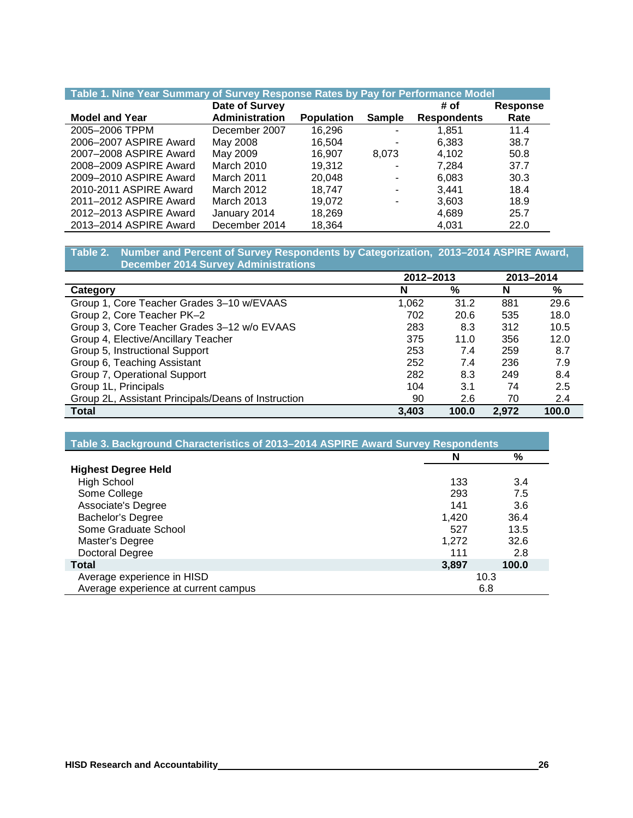| Table 1. Nine Year Summary of Survey Response Rates by Pay for Performance Model |                       |                   |               |                    |                 |  |  |  |
|----------------------------------------------------------------------------------|-----------------------|-------------------|---------------|--------------------|-----------------|--|--|--|
|                                                                                  | Date of Survey        |                   |               | # of               | <b>Response</b> |  |  |  |
| <b>Model and Year</b>                                                            | <b>Administration</b> | <b>Population</b> | <b>Sample</b> | <b>Respondents</b> | Rate            |  |  |  |
| 2005-2006 TPPM                                                                   | December 2007         | 16,296            | ۰             | 1,851              | 11.4            |  |  |  |
| 2006-2007 ASPIRE Award                                                           | May 2008              | 16.504            |               | 6,383              | 38.7            |  |  |  |
| 2007-2008 ASPIRE Award                                                           | May 2009              | 16.907            | 8.073         | 4,102              | 50.8            |  |  |  |
| 2008-2009 ASPIRE Award                                                           | March 2010            | 19.312            |               | 7.284              | 37.7            |  |  |  |
| 2009-2010 ASPIRE Award                                                           | March 2011            | 20.048            |               | 6,083              | 30.3            |  |  |  |
| 2010-2011 ASPIRE Award                                                           | March 2012            | 18.747            |               | 3.441              | 18.4            |  |  |  |
| 2011-2012 ASPIRE Award                                                           | March 2013            | 19.072            | ٠             | 3,603              | 18.9            |  |  |  |
| 2012-2013 ASPIRE Award                                                           | January 2014          | 18,269            |               | 4,689              | 25.7            |  |  |  |
| 2013-2014 ASPIRE Award                                                           | December 2014         | 18,364            |               | 4,031              | 22.0            |  |  |  |

#### **Table 2. Number and Percent of Survey Respondents by Categorization, 2013–2014 ASPIRE Award, December 2014 Survey Administrations**

|                                                     | 2012-2013 |       |       | 2013-2014 |
|-----------------------------------------------------|-----------|-------|-------|-----------|
| Category                                            | N         | %     | N     | %         |
| Group 1, Core Teacher Grades 3-10 w/EVAAS           | 1,062     | 31.2  | 881   | 29.6      |
| Group 2, Core Teacher PK-2                          | 702       | 20.6  | 535   | 18.0      |
| Group 3, Core Teacher Grades 3-12 w/o EVAAS         | 283       | 8.3   | 312   | 10.5      |
| Group 4, Elective/Ancillary Teacher                 | 375       | 11.0  | 356   | 12.0      |
| Group 5, Instructional Support                      | 253       | 7.4   | 259   | 8.7       |
| Group 6, Teaching Assistant                         | 252       | 7.4   | 236   | 7.9       |
| Group 7, Operational Support                        | 282       | 8.3   | 249   | 8.4       |
| Group 1L, Principals                                | 104       | 3.1   | 74    | 2.5       |
| Group 2L, Assistant Principals/Deans of Instruction | 90        | 2.6   | 70    | 2.4       |
| <b>Total</b>                                        | 3.403     | 100.0 | 2.972 | 100.0     |

| Table 3. Background Characteristics of 2013-2014 ASPIRE Award Survey Respondents |       |       |
|----------------------------------------------------------------------------------|-------|-------|
|                                                                                  | N     | %     |
| <b>Highest Degree Held</b>                                                       |       |       |
| <b>High School</b>                                                               | 133   | 3.4   |
| Some College                                                                     | 293   | 7.5   |
| Associate's Degree                                                               | 141   | 3.6   |
| <b>Bachelor's Degree</b>                                                         | 1.420 | 36.4  |
| Some Graduate School                                                             | 527   | 13.5  |
| Master's Degree                                                                  | 1,272 | 32.6  |
| Doctoral Degree                                                                  | 111   | 2.8   |
| <b>Total</b>                                                                     | 3,897 | 100.0 |
| Average experience in HISD                                                       |       | 10.3  |
| Average experience at current campus                                             |       | 6.8   |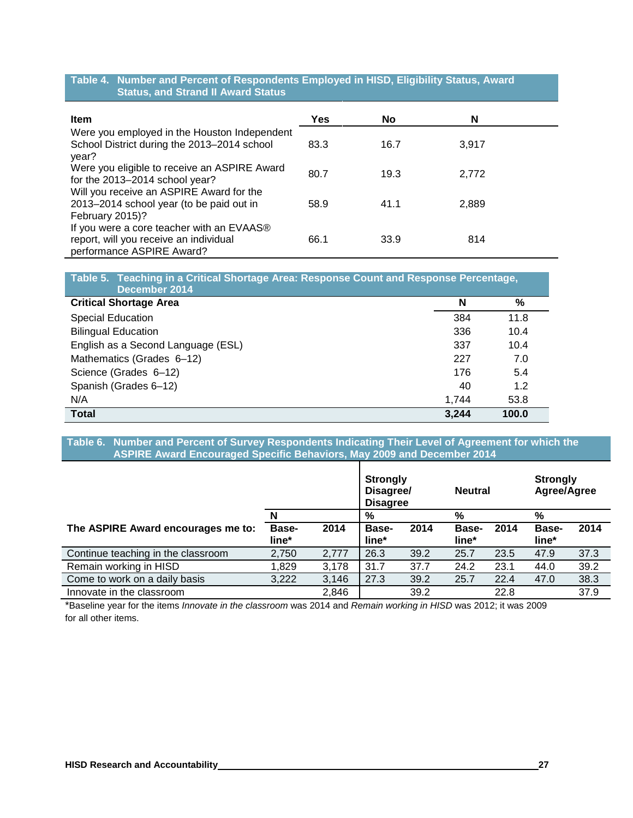#### **Table 4. Number and Percent of Respondents Employed in HISD, Eligibility Status, Award Status, and Strand II Award Status**

| <b>Item</b>                                                                                                      | Yes  | No   | N     |  |
|------------------------------------------------------------------------------------------------------------------|------|------|-------|--|
| Were you employed in the Houston Independent<br>School District during the 2013-2014 school<br>year?             | 83.3 | 16.7 | 3.917 |  |
| Were you eligible to receive an ASPIRE Award<br>for the 2013-2014 school year?                                   | 80.7 | 19.3 | 2.772 |  |
| Will you receive an ASPIRE Award for the<br>2013-2014 school year (to be paid out in<br>February 2015)?          | 58.9 | 41.1 | 2,889 |  |
| If you were a core teacher with an EVAAS®<br>report, will you receive an individual<br>performance ASPIRE Award? | 66.1 | 33.9 | 814   |  |

| Table 5. Teaching in a Critical Shortage Area: Response Count and Response Percentage,<br>December 2014 |       |       |
|---------------------------------------------------------------------------------------------------------|-------|-------|
| <b>Critical Shortage Area</b>                                                                           | N     | %     |
| <b>Special Education</b>                                                                                | 384   | 11.8  |
| <b>Bilingual Education</b>                                                                              | 336   | 10.4  |
| English as a Second Language (ESL)                                                                      | 337   | 10.4  |
| Mathematics (Grades 6-12)                                                                               | 227   | 7.0   |
| Science (Grades 6-12)                                                                                   | 176   | 5.4   |
| Spanish (Grades 6-12)                                                                                   | 40    | 1.2   |
| N/A                                                                                                     | 1.744 | 53.8  |
| <b>Total</b>                                                                                            | 3,244 | 100.0 |

**Table 6. Number and Percent of Survey Respondents Indicating Their Level of Agreement for which the ASPIRE Award Encouraged Specific Behaviors, May 2009 and December 2014**

|                                    |                |       | <b>Strongly</b><br>Disagree/<br><b>Neutral</b><br><b>Disagree</b> |      |                       | <b>Strongly</b><br>Agree/Agree |                |      |
|------------------------------------|----------------|-------|-------------------------------------------------------------------|------|-----------------------|--------------------------------|----------------|------|
|                                    | N              |       | %                                                                 |      | $\%$                  |                                | %              |      |
| The ASPIRE Award encourages me to: | Base-<br>line* | 2014  | <b>Base-</b><br>line*                                             | 2014 | <b>Base-</b><br>line* | 2014                           | Base-<br>line* | 2014 |
| Continue teaching in the classroom | 2,750          | 2,777 | 26.3                                                              | 39.2 | 25.7                  | 23.5                           | 47.9           | 37.3 |
| Remain working in HISD             | 1,829          | 3,178 | 31.7                                                              | 37.7 | 24.2                  | 23.1                           | 44.0           | 39.2 |
| Come to work on a daily basis      | 3,222          | 3,146 | 27.3                                                              | 39.2 | 25.7                  | 22.4                           | 47.0           | 38.3 |
| Innovate in the classroom          |                | 2,846 |                                                                   | 39.2 |                       | 22.8                           |                | 37.9 |

\*Baseline year for the items *Innovate in the classroom* was 2014 and *Remain working in HISD* was 2012; it was 2009 for all other items.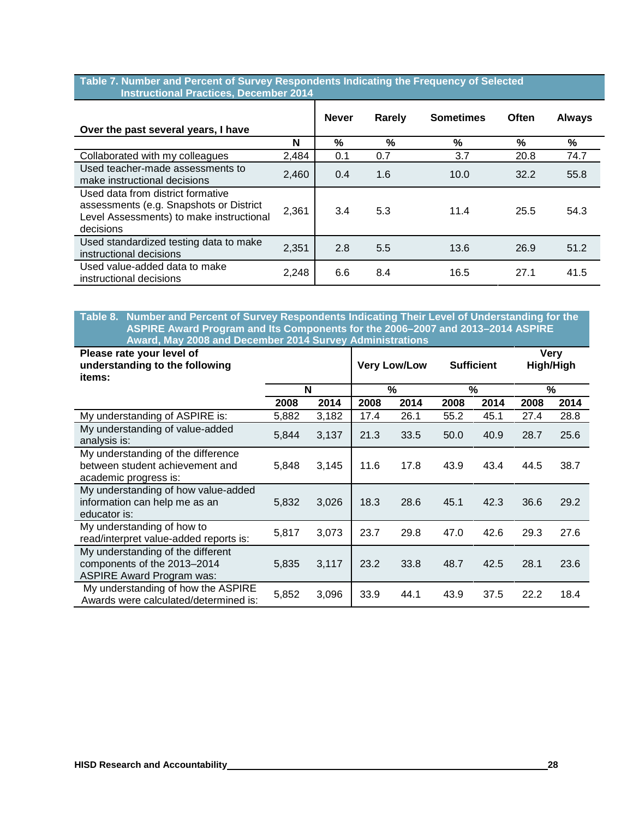#### **Table 7. Number and Percent of Survey Respondents Indicating the Frequency of Selected Instructional Practices, December 2014**

| Over the past several years, I have                                                                                                   |       | <b>Never</b> | Rarely | <b>Sometimes</b> | Often | <b>Always</b> |
|---------------------------------------------------------------------------------------------------------------------------------------|-------|--------------|--------|------------------|-------|---------------|
|                                                                                                                                       | N     | %            | %      | %                | %     | %             |
| Collaborated with my colleagues                                                                                                       | 2,484 | 0.1          | 0.7    | 3.7              | 20.8  | 74.7          |
| Used teacher-made assessments to<br>make instructional decisions                                                                      | 2,460 | 0.4          | 1.6    | 10.0             | 32.2  | 55.8          |
| Used data from district formative<br>assessments (e.g. Snapshots or District<br>Level Assessments) to make instructional<br>decisions | 2,361 | 3.4          | 5.3    | 11.4             | 25.5  | 54.3          |
| Used standardized testing data to make<br>instructional decisions                                                                     | 2,351 | 2.8          | 5.5    | 13.6             | 26.9  | 51.2          |
| Used value-added data to make<br>instructional decisions                                                                              | 2,248 | 6.6          | 8.4    | 16.5             | 27.1  | 41.5          |

#### **Table 8. Number and Percent of Survey Respondents Indicating Their Level of Understanding for the ASPIRE Award Program and Its Components for the 2006–2007 and 2013–2014 ASPIRE Award, May 2008 and December 2014 Survey Administrations**

| Please rate your level of<br>understanding to the following<br>items:                                |       |       | <b>Very Low/Low</b> |               | <b>Sufficient</b> |      | <b>Very</b><br>High/High |      |
|------------------------------------------------------------------------------------------------------|-------|-------|---------------------|---------------|-------------------|------|--------------------------|------|
|                                                                                                      |       | N     |                     | $\frac{9}{6}$ | $\frac{0}{2}$     |      |                          | %    |
|                                                                                                      | 2008  | 2014  | 2008                | 2014          | 2008              | 2014 | 2008                     | 2014 |
| My understanding of ASPIRE is:                                                                       | 5,882 | 3,182 | 17.4                | 26.1          | 55.2              | 45.1 | 27.4                     | 28.8 |
| My understanding of value-added<br>analysis is:                                                      | 5,844 | 3,137 | 21.3                | 33.5          | 50.0              | 40.9 | 28.7                     | 25.6 |
| My understanding of the difference<br>between student achievement and<br>academic progress is:       | 5,848 | 3,145 | 11.6                | 17.8          | 43.9              | 43.4 | 44.5                     | 38.7 |
| My understanding of how value-added<br>information can help me as an<br>educator is:                 | 5,832 | 3,026 | 18.3                | 28.6          | 45.1              | 42.3 | 36.6                     | 29.2 |
| My understanding of how to<br>read/interpret value-added reports is:                                 | 5,817 | 3,073 | 23.7                | 29.8          | 47.0              | 42.6 | 29.3                     | 27.6 |
| My understanding of the different<br>components of the 2013-2014<br><b>ASPIRE Award Program was:</b> | 5,835 | 3,117 | 23.2                | 33.8          | 48.7              | 42.5 | 28.1                     | 23.6 |
| My understanding of how the ASPIRE<br>Awards were calculated/determined is:                          | 5,852 | 3,096 | 33.9                | 44.1          | 43.9              | 37.5 | 22.2                     | 18.4 |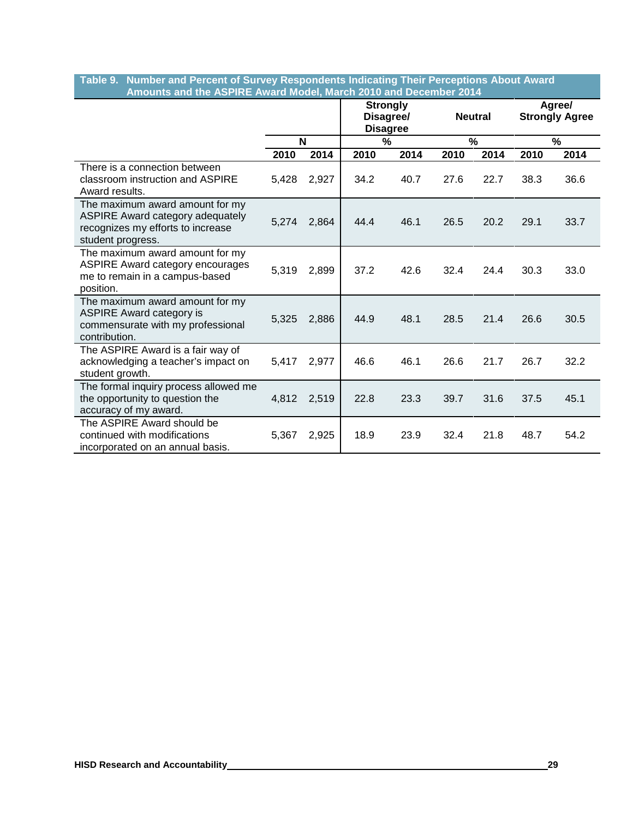#### **Table 9. Number and Percent of Survey Respondents Indicating Their Perceptions About Award Amounts and the ASPIRE Award Model, March 2010 and December 2014**

|                                                                                                                                      |       | <b>Strongly</b><br>Disagree/<br><b>Neutral</b><br><b>Disagree</b> |      |      |      |      | Agree/<br><b>Strongly Agree</b> |      |
|--------------------------------------------------------------------------------------------------------------------------------------|-------|-------------------------------------------------------------------|------|------|------|------|---------------------------------|------|
|                                                                                                                                      |       | N                                                                 | %    |      |      | %    | $\%$                            |      |
|                                                                                                                                      | 2010  | 2014                                                              | 2010 | 2014 | 2010 | 2014 | 2010                            | 2014 |
| There is a connection between<br>classroom instruction and ASPIRE<br>Award results.                                                  | 5,428 | 2,927                                                             | 34.2 | 40.7 | 27.6 | 22.7 | 38.3                            | 36.6 |
| The maximum award amount for my<br><b>ASPIRE Award category adequately</b><br>recognizes my efforts to increase<br>student progress. | 5,274 | 2,864                                                             | 44.4 | 46.1 | 26.5 | 20.2 | 29.1                            | 33.7 |
| The maximum award amount for my<br><b>ASPIRE Award category encourages</b><br>me to remain in a campus-based<br>position.            | 5,319 | 2,899                                                             | 37.2 | 42.6 | 32.4 | 24.4 | 30.3                            | 33.0 |
| The maximum award amount for my<br><b>ASPIRE Award category is</b><br>commensurate with my professional<br>contribution.             | 5,325 | 2,886                                                             | 44.9 | 48.1 | 28.5 | 21.4 | 26.6                            | 30.5 |
| The ASPIRE Award is a fair way of<br>acknowledging a teacher's impact on<br>student growth.                                          | 5,417 | 2,977                                                             | 46.6 | 46.1 | 26.6 | 21.7 | 26.7                            | 32.2 |
| The formal inquiry process allowed me<br>the opportunity to question the<br>accuracy of my award.                                    | 4,812 | 2,519                                                             | 22.8 | 23.3 | 39.7 | 31.6 | 37.5                            | 45.1 |
| The ASPIRE Award should be<br>continued with modifications<br>incorporated on an annual basis.                                       | 5,367 | 2,925                                                             | 18.9 | 23.9 | 32.4 | 21.8 | 48.7                            | 54.2 |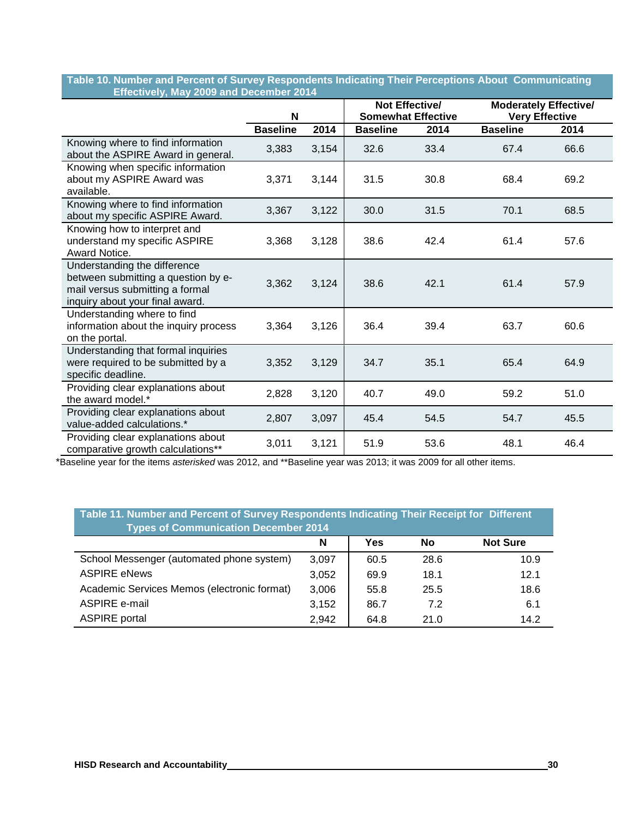#### **Table 10. Number and Percent of Survey Respondents Indicating Their Perceptions About Communicating Effectively, May 2009 and December 2014**

| .                                                                                                                                         | N               |       | Not Effective/<br><b>Somewhat Effective</b> |      |                 |      | <b>Moderately Effective/</b><br><b>Very Effective</b> |  |
|-------------------------------------------------------------------------------------------------------------------------------------------|-----------------|-------|---------------------------------------------|------|-----------------|------|-------------------------------------------------------|--|
|                                                                                                                                           | <b>Baseline</b> | 2014  | <b>Baseline</b>                             | 2014 | <b>Baseline</b> | 2014 |                                                       |  |
| Knowing where to find information<br>about the ASPIRE Award in general.                                                                   | 3,383           | 3,154 | 32.6                                        | 33.4 | 67.4            | 66.6 |                                                       |  |
| Knowing when specific information<br>about my ASPIRE Award was<br>available.                                                              | 3,371           | 3,144 | 31.5                                        | 30.8 | 68.4            | 69.2 |                                                       |  |
| Knowing where to find information<br>about my specific ASPIRE Award.                                                                      | 3,367           | 3,122 | 30.0                                        | 31.5 | 70.1            | 68.5 |                                                       |  |
| Knowing how to interpret and<br>understand my specific ASPIRE<br>Award Notice.                                                            | 3,368           | 3,128 | 38.6                                        | 42.4 | 61.4            | 57.6 |                                                       |  |
| Understanding the difference<br>between submitting a question by e-<br>mail versus submitting a formal<br>inquiry about your final award. | 3,362           | 3,124 | 38.6                                        | 42.1 | 61.4            | 57.9 |                                                       |  |
| Understanding where to find<br>information about the inquiry process<br>on the portal.                                                    | 3,364           | 3,126 | 36.4                                        | 39.4 | 63.7            | 60.6 |                                                       |  |
| Understanding that formal inquiries<br>were required to be submitted by a<br>specific deadline.                                           | 3,352           | 3,129 | 34.7                                        | 35.1 | 65.4            | 64.9 |                                                       |  |
| Providing clear explanations about<br>the award model.*                                                                                   | 2,828           | 3,120 | 40.7                                        | 49.0 | 59.2            | 51.0 |                                                       |  |
| Providing clear explanations about<br>value-added calculations.*                                                                          | 2,807           | 3,097 | 45.4                                        | 54.5 | 54.7            | 45.5 |                                                       |  |
| Providing clear explanations about<br>comparative growth calculations**                                                                   | 3,011           | 3,121 | 51.9                                        | 53.6 | 48.1            | 46.4 |                                                       |  |

\*Baseline year for the items *asterisked* was 2012, and \*\*Baseline year was 2013; it was 2009 for all other items.

| Table 11. Number and Percent of Survey Respondents Indicating Their Receipt for Different<br><b>Types of Communication December 2014</b> |       |      |      |                 |  |  |  |  |
|------------------------------------------------------------------------------------------------------------------------------------------|-------|------|------|-----------------|--|--|--|--|
|                                                                                                                                          | N     | Yes  | No   | <b>Not Sure</b> |  |  |  |  |
| School Messenger (automated phone system)                                                                                                | 3,097 | 60.5 | 28.6 | 10.9            |  |  |  |  |
| <b>ASPIRE eNews</b>                                                                                                                      | 3,052 | 69.9 | 18.1 | 12.1            |  |  |  |  |
| Academic Services Memos (electronic format)                                                                                              | 3,006 | 55.8 | 25.5 | 18.6            |  |  |  |  |
| ASPIRE e-mail                                                                                                                            | 3,152 | 86.7 | 7.2  | 6.1             |  |  |  |  |
| <b>ASPIRE</b> portal                                                                                                                     | 2,942 | 64.8 | 21.0 | 14.2            |  |  |  |  |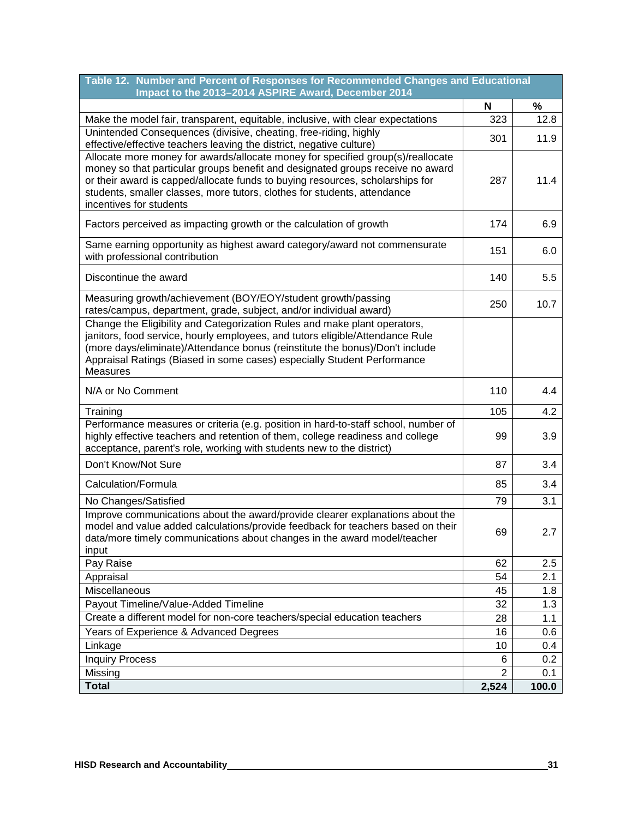| Table 12. Number and Percent of Responses for Recommended Changes and Educational<br>Impact to the 2013-2014 ASPIRE Award, December 2014                                                                                                                                                                                                                  |                         |              |
|-----------------------------------------------------------------------------------------------------------------------------------------------------------------------------------------------------------------------------------------------------------------------------------------------------------------------------------------------------------|-------------------------|--------------|
|                                                                                                                                                                                                                                                                                                                                                           | N                       | %            |
| Make the model fair, transparent, equitable, inclusive, with clear expectations                                                                                                                                                                                                                                                                           | 323                     | 12.8         |
| Unintended Consequences (divisive, cheating, free-riding, highly<br>effective/effective teachers leaving the district, negative culture)                                                                                                                                                                                                                  | 301                     | 11.9         |
| Allocate more money for awards/allocate money for specified group(s)/reallocate<br>money so that particular groups benefit and designated groups receive no award<br>or their award is capped/allocate funds to buying resources, scholarships for<br>students, smaller classes, more tutors, clothes for students, attendance<br>incentives for students | 287                     | 11.4         |
| Factors perceived as impacting growth or the calculation of growth                                                                                                                                                                                                                                                                                        | 174                     | 6.9          |
| Same earning opportunity as highest award category/award not commensurate<br>with professional contribution                                                                                                                                                                                                                                               | 151                     | 6.0          |
| Discontinue the award                                                                                                                                                                                                                                                                                                                                     | 140                     | 5.5          |
| Measuring growth/achievement (BOY/EOY/student growth/passing<br>rates/campus, department, grade, subject, and/or individual award)                                                                                                                                                                                                                        | 250                     | 10.7         |
| Change the Eligibility and Categorization Rules and make plant operators,<br>janitors, food service, hourly employees, and tutors eligible/Attendance Rule<br>(more days/eliminate)/Attendance bonus (reinstitute the bonus)/Don't include<br>Appraisal Ratings (Biased in some cases) especially Student Performance<br><b>Measures</b>                  |                         |              |
| N/A or No Comment                                                                                                                                                                                                                                                                                                                                         | 110                     | 4.4          |
| Training                                                                                                                                                                                                                                                                                                                                                  | 105                     | 4.2          |
| Performance measures or criteria (e.g. position in hard-to-staff school, number of<br>highly effective teachers and retention of them, college readiness and college<br>acceptance, parent's role, working with students new to the district)                                                                                                             | 99                      | 3.9          |
| Don't Know/Not Sure                                                                                                                                                                                                                                                                                                                                       | 87                      | 3.4          |
| Calculation/Formula                                                                                                                                                                                                                                                                                                                                       | 85                      | 3.4          |
| No Changes/Satisfied                                                                                                                                                                                                                                                                                                                                      | 79                      | 3.1          |
| Improve communications about the award/provide clearer explanations about the<br>model and value added calculations/provide feedback for teachers based on their<br>data/more timely communications about changes in the award model/teacher<br>input                                                                                                     | 69                      | 2.7          |
| Pay Raise                                                                                                                                                                                                                                                                                                                                                 | 62                      | 2.5          |
| Appraisal                                                                                                                                                                                                                                                                                                                                                 | 54                      | 2.1          |
| Miscellaneous                                                                                                                                                                                                                                                                                                                                             | 45                      | 1.8          |
| Payout Timeline/Value-Added Timeline                                                                                                                                                                                                                                                                                                                      | 32                      | 1.3          |
| Create a different model for non-core teachers/special education teachers                                                                                                                                                                                                                                                                                 | 28                      | 1.1          |
| Years of Experience & Advanced Degrees                                                                                                                                                                                                                                                                                                                    | 16                      | 0.6          |
| Linkage                                                                                                                                                                                                                                                                                                                                                   | 10                      | 0.4          |
| <b>Inquiry Process</b>                                                                                                                                                                                                                                                                                                                                    | 6                       | 0.2          |
| Missing<br><b>Total</b>                                                                                                                                                                                                                                                                                                                                   | $\overline{2}$<br>2,524 | 0.1<br>100.0 |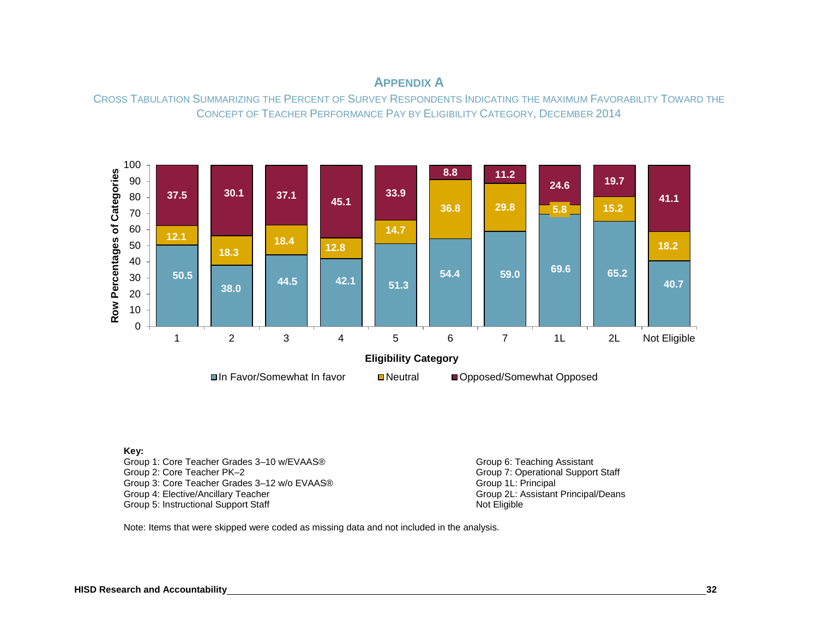# **APPENDIX A**

CROSS TABULATION SUMMARIZING THE PERCENT OF SURVEY RESPONDENTS INDICATING THE MAXIMUM FAVORABILITY TOWARD THE CONCEPT OF TEACHER PERFORMANCE PAY BY ELIGIBILITY CATEGORY, DECEMBER 2014



#### **Key:**

Group 1: Core Teacher Grades 3–10 w/EVAAS® Group 6: Teaching Assistant Group 6: Teaching Assistant Group 2: Core Teacher PK–2 Group 3: Core Teacher Grades 3–12 w/o EVAAS® Group 1L: Principal Croup 1L: Principal Croup 1. Croup 1. Croup 1<br>Group 4: Elective/Ancillary Teacher Group 2. Assistant Principal/Deans Group 4: Elective/Ancillary Teacher Group 2L: Assistant Principal Company of Croup 2L: Assistant Principal Croup 2L: A<br>Group 5: Instructional Support Staff Group 5: Instructional Support Staff

Group 7: Operational Support Staff<br>Group 1L: Principal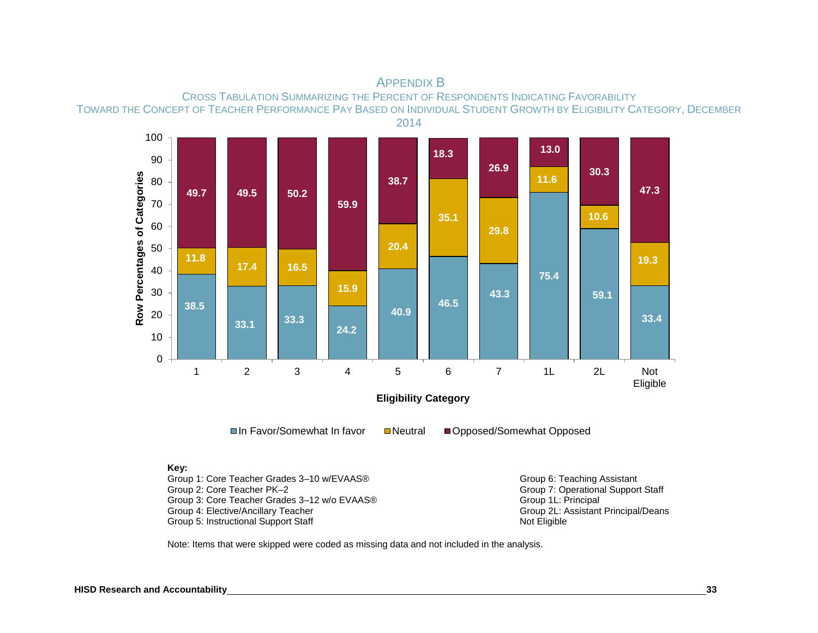

# APPENDIX B

# CROSS TABULATION SUMMARIZING THE PERCENT OF RESPONDENTS INDICATING FAVORABILITY TOWARD THE CONCEPT OF TEACHER PERFORMANCE PAY BASED ON INDIVIDUAL STUDENT GROWTH BY ELIGIBILITY CATEGORY, DECEMBER

**Key:**

Group 1: Core Teacher Grades 3–10 w/EVAAS® Group 6: Teaching Assistant Group 6: Teaching Assistant Group 2: Core Teacher PK–2 Group 3: Core Teacher Grades 3–12 w/o EVAAS®<br>Group 4: Elective/Ancillary Teacher Group 5: Instructional Support Staff

Group 7: Operational Support Staff<br>Group 1L: Principal Group 2L: Assistant Principal/Deans<br>Not Eligible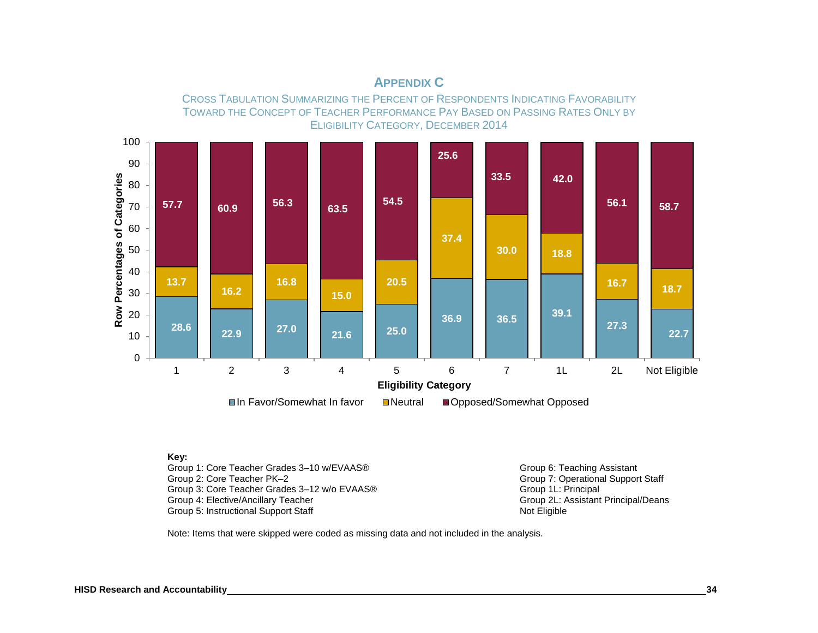

# **APPENDIX C**

**Key:**

Group 1: Core Teacher Grades 3–10 w/EVAAS® Group 6: Teaching Assistant Group 6: Teaching Assistant Group 2: Core Teacher PK–2 Group 3: Core Teacher Grades 3–12 w/o EVAAS® Group 1L: Principal Croup 1L: Principal Croup 1. Croup 1. Croup 1<br>Group 4: Elective/Ancillary Teacher Group 2. Assistant Principal/Deans Group 4: Elective/Ancillary Teacher Group 2L: Assistant Principal Company of Croup 2L: Assistant Principal Croup 2L: A<br>Group 5: Instructional Support Staff Group 5: Instructional Support Staff

Group 7: Operational Support Staff<br>Group 1L: Principal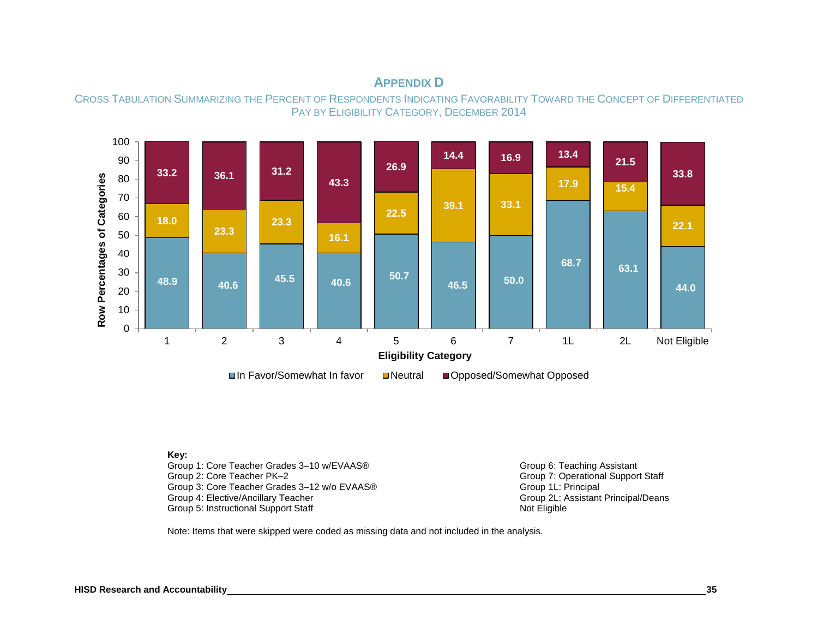# **APPENDIX D**





#### **Key:**

Group 1: Core Teacher Grades 3–10 w/EVAAS® Group 6: Teaching Assistant Group 6: Teaching Assistant Group 2: Core Teacher PK–2 Group 3: Core Teacher Grades 3-12 w/o EVAAS®<br>Group 4: Elective/Ancillary Teacher Group 5: Instructional Support Staff

Group 7: Operational Support Staff<br>Group 1L: Principal Group 2L: Assistant Principal/Deans<br>Not Eligible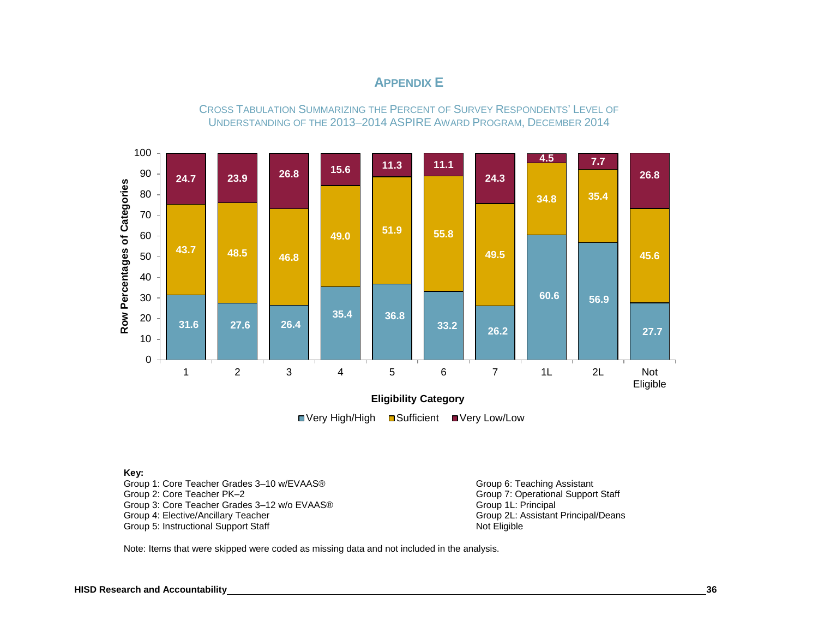# **APPENDIX E**

CROSS TABULATION SUMMARIZING THE PERCENT OF SURVEY RESPONDENTS' LEVEL OF UNDERSTANDING OF THE 2013–2014 ASPIRE AWARD PROGRAM, DECEMBER 2014



■Very High/High ■Sufficient ■Very Low/Low

#### **Key:**

Group 1: Core Teacher Grades 3–10 w/EVAAS® Group 6: Teaching Assistant Group 6: Teaching Assistant Group 7: Operational Suppor Group 3: Core Teacher Grades 3–12 w/o EVAAS® Group 1L: Principal Group 1L: Principal Group 4: Elective/Ancillary Teacher Group 5: Instructional Support Staff

Group 7: Operational Support Staff Group 2L: Assistant Principal/Deans<br>Not Eligible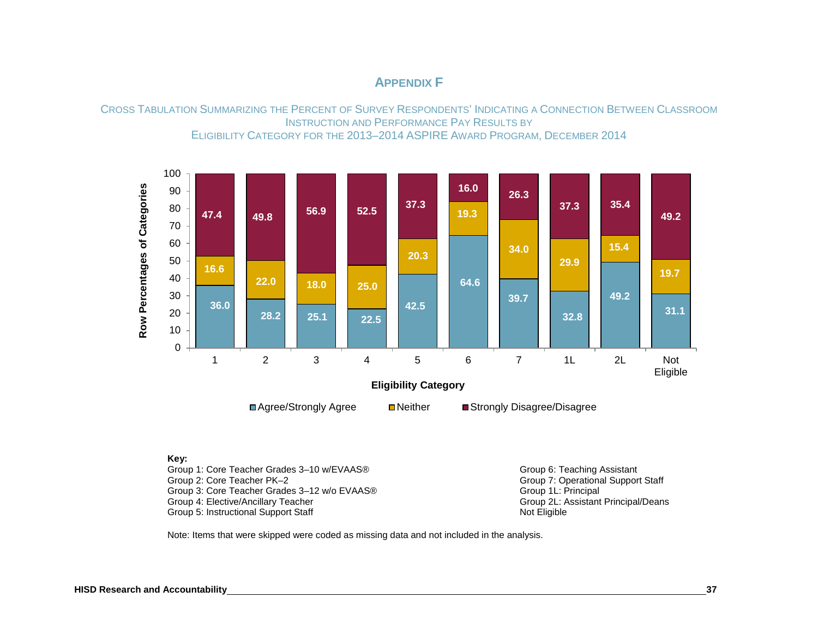# **APPENDIX F**

CROSS TABULATION SUMMARIZING THE PERCENT OF SURVEY RESPONDENTS' INDICATING A CONNECTION BETWEEN CLASSROOM INSTRUCTION AND PERFORMANCE PAY RESULTS BY ELIGIBILITY CATEGORY FOR THE 2013–2014 ASPIRE AWARD PROGRAM, DECEMBER 2014



#### **Key:**

Group 1: Core Teacher Grades 3–10 w/EVAAS® Group 6: Teaching Assistant Group 6: Teaching Assistant Group 7: Operational Support Group 3: Core Teacher Grades 3–12 w/o EVAAS® Group 1L: Principal Croup 1L: Principal Croup 1. Croup 1. Croup 1<br>Group 4: Elective/Ancillary Teacher Group 2. Assistant Principal/Deans Group 4: Elective/Ancillary Teacher Group 2L: Assistant Principal Company of the Group 2L: Assistant Principal<br>Group 5: Instructional Support Staff Group 5: Instructional Support Staff

Group 7: Operational Support Staff<br>Group 1L: Principal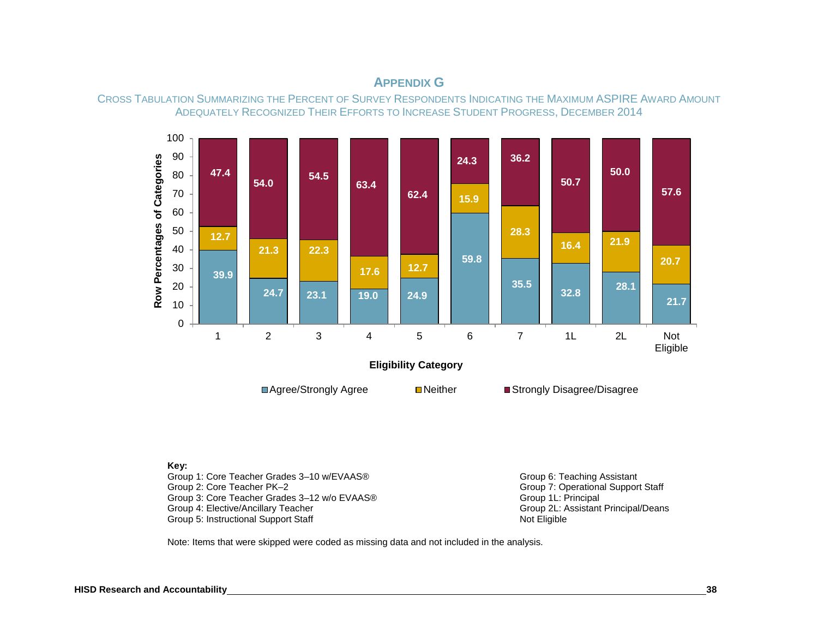

# **APPENDIX G**



#### **Key:**

Group 1: Core Teacher Grades 3–10 w/EVAAS® Group 6: Teaching Assistant Group 6: Teaching Assistant Group 2: Core Teacher PK–2 Group 3: Core Teacher Grades 3–12 w/o EVAAS®<br>Group 4: Elective/Ancillary Teacher Group 5: Instructional Support Staff

Group 7: Operational Support Staff<br>Group 1L: Principal Group 2L: Assistant Principal/Deans<br>Not Eligible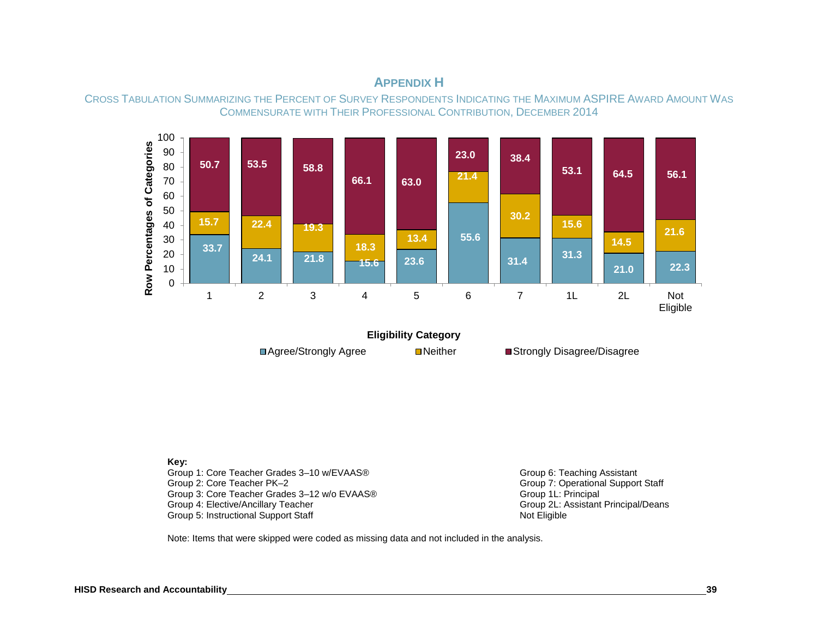

**APPENDIX H**



**Key:**

Group 1: Core Teacher Grades 3-10 w/EVAAS® Group 6: Teaching Assistant Group 2: Core Teacher PK–2<br>
Group 3: Core Teacher Grades 3–12 w/o EVAAS®<br>
Group 3: Core Teacher Grades 3–12 w/o EVAAS® Group 3: Core Teacher Grades 3–12 w/o EVAAS®<br>Group 4: Elective/Ancillary Teacher Group 5: Instructional Support Staff

Group 2L: Assistant Principal/Deans<br>Not Eligible